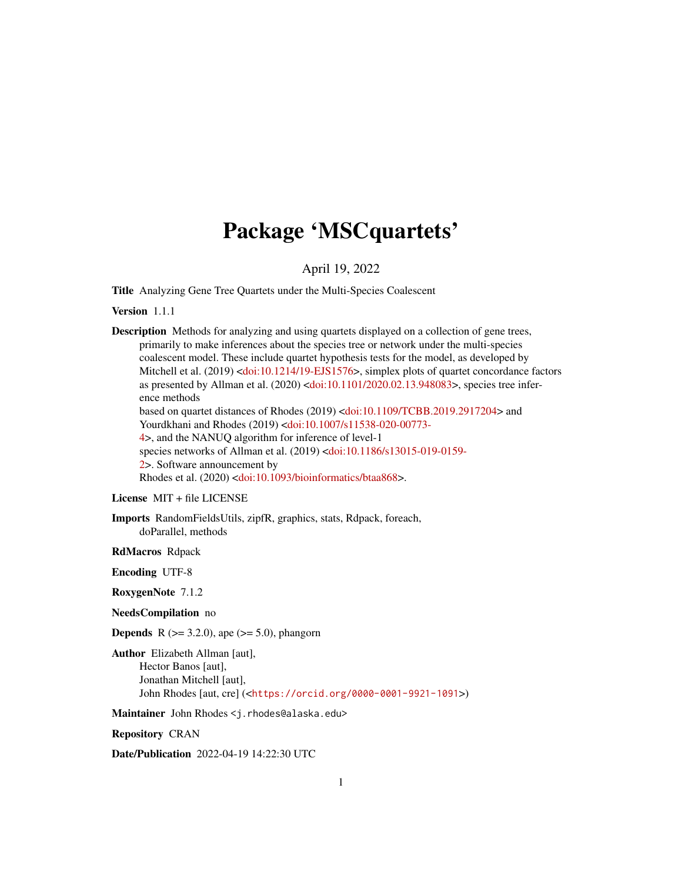## Package 'MSCquartets'

### April 19, 2022

Title Analyzing Gene Tree Quartets under the Multi-Species Coalescent

Version 1.1.1

Description Methods for analyzing and using quartets displayed on a collection of gene trees, primarily to make inferences about the species tree or network under the multi-species coalescent model. These include quartet hypothesis tests for the model, as developed by Mitchell et al. (2019) [<doi:10.1214/19-EJS1576>](https://doi.org/10.1214/19-EJS1576), simplex plots of quartet concordance factors as presented by Allman et al. (2020) [<doi:10.1101/2020.02.13.948083>](https://doi.org/10.1101/2020.02.13.948083), species tree inference methods based on quartet distances of Rhodes (2019) [<doi:10.1109/TCBB.2019.2917204>](https://doi.org/10.1109/TCBB.2019.2917204) and Yourdkhani and Rhodes (2019) [<doi:10.1007/s11538-020-00773-](https://doi.org/10.1007/s11538-020-00773-4) [4>](https://doi.org/10.1007/s11538-020-00773-4), and the NANUQ algorithm for inference of level-1 species networks of Allman et al. (2019) [<doi:10.1186/s13015-019-0159-](https://doi.org/10.1186/s13015-019-0159-2) [2>](https://doi.org/10.1186/s13015-019-0159-2). Software announcement by Rhodes et al. (2020) [<doi:10.1093/bioinformatics/btaa868>](https://doi.org/10.1093/bioinformatics/btaa868).

License MIT + file LICENSE

Imports RandomFieldsUtils, zipfR, graphics, stats, Rdpack, foreach, doParallel, methods

RdMacros Rdpack

Encoding UTF-8

RoxygenNote 7.1.2

NeedsCompilation no

**Depends** R ( $>= 3.2.0$ ), ape ( $>= 5.0$ ), phangorn

Author Elizabeth Allman [aut], Hector Banos [aut], Jonathan Mitchell [aut], John Rhodes [aut, cre] (<<https://orcid.org/0000-0001-9921-1091>>)

Maintainer John Rhodes <j.rhodes@alaska.edu>

Repository CRAN

Date/Publication 2022-04-19 14:22:30 UTC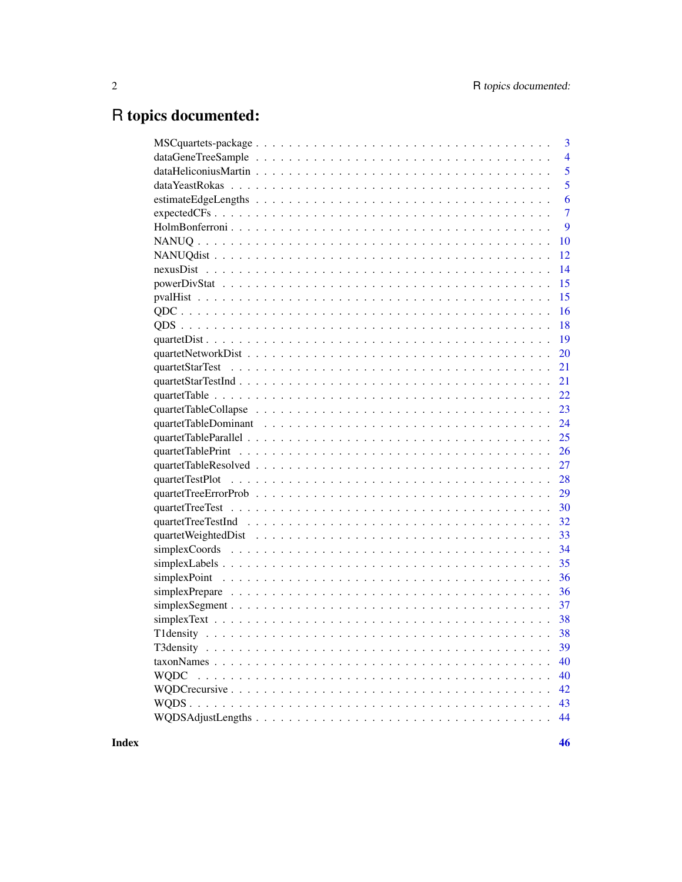## R topics documented:

| $\overline{3}$                                                                                                                         |
|----------------------------------------------------------------------------------------------------------------------------------------|
| $\overline{4}$                                                                                                                         |
| 5                                                                                                                                      |
| 5                                                                                                                                      |
| 6                                                                                                                                      |
| $\overline{7}$<br>$expected CFs \dots \dots \dots \dots \dots \dots \dots \dots \dots \dots \dots \dots \dots \dots \dots \dots \dots$ |
| 9                                                                                                                                      |
| 10                                                                                                                                     |
| 12                                                                                                                                     |
| 14                                                                                                                                     |
| 15                                                                                                                                     |
| 15                                                                                                                                     |
| 16                                                                                                                                     |
| 18                                                                                                                                     |
|                                                                                                                                        |
| 20                                                                                                                                     |
| 21                                                                                                                                     |
| 21                                                                                                                                     |
| 22                                                                                                                                     |
| 23                                                                                                                                     |
| 24                                                                                                                                     |
| 25                                                                                                                                     |
| 26                                                                                                                                     |
| 27                                                                                                                                     |
| 28                                                                                                                                     |
| 29                                                                                                                                     |
| 30                                                                                                                                     |
| 32                                                                                                                                     |
| quartet Weighted Dist<br>$\ldots$ $\ldots$ $\ldots$ $\ldots$ $\ldots$ $\ldots$ $\ldots$ $\ldots$ $\ldots$ $\ldots$ $\ldots$<br>33      |
| 34                                                                                                                                     |
| 35                                                                                                                                     |
| 36                                                                                                                                     |
| 36                                                                                                                                     |
|                                                                                                                                        |
|                                                                                                                                        |
|                                                                                                                                        |
| 39                                                                                                                                     |
| 40                                                                                                                                     |
| 40<br><b>WQDC</b>                                                                                                                      |
| 42                                                                                                                                     |
| 43                                                                                                                                     |
| 44                                                                                                                                     |
|                                                                                                                                        |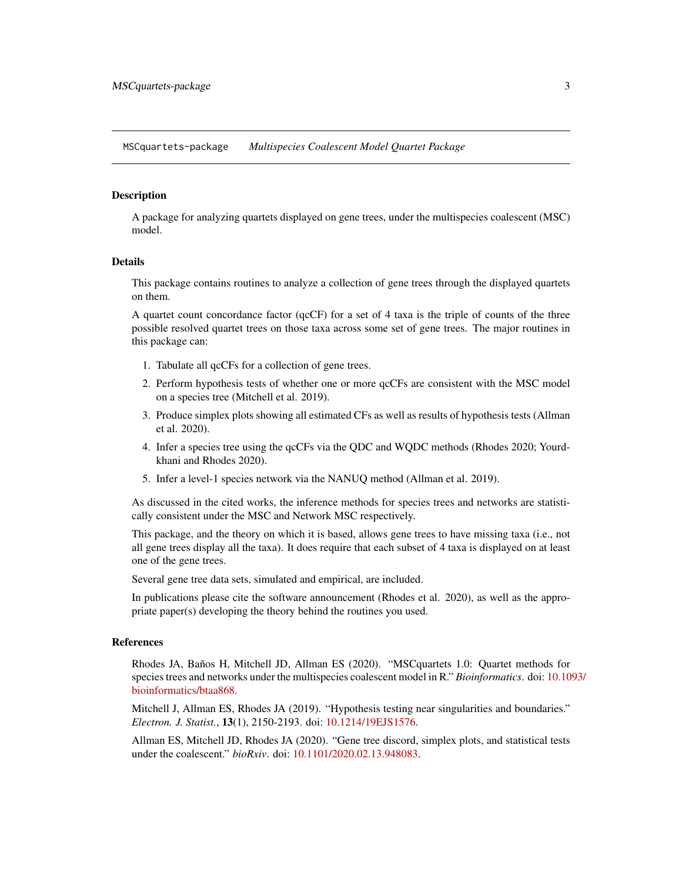<span id="page-2-0"></span>MSCquartets-package *Multispecies Coalescent Model Quartet Package*

### Description

A package for analyzing quartets displayed on gene trees, under the multispecies coalescent (MSC) model.

#### Details

This package contains routines to analyze a collection of gene trees through the displayed quartets on them.

A quartet count concordance factor (qcCF) for a set of 4 taxa is the triple of counts of the three possible resolved quartet trees on those taxa across some set of gene trees. The major routines in this package can:

- 1. Tabulate all qcCFs for a collection of gene trees.
- 2. Perform hypothesis tests of whether one or more qcCFs are consistent with the MSC model on a species tree (Mitchell et al. 2019).
- 3. Produce simplex plots showing all estimated CFs as well as results of hypothesis tests (Allman et al. 2020).
- 4. Infer a species tree using the qcCFs via the QDC and WQDC methods (Rhodes 2020; Yourdkhani and Rhodes 2020).
- 5. Infer a level-1 species network via the NANUQ method (Allman et al. 2019).

As discussed in the cited works, the inference methods for species trees and networks are statistically consistent under the MSC and Network MSC respectively.

This package, and the theory on which it is based, allows gene trees to have missing taxa (i.e., not all gene trees display all the taxa). It does require that each subset of 4 taxa is displayed on at least one of the gene trees.

Several gene tree data sets, simulated and empirical, are included.

In publications please cite the software announcement (Rhodes et al. 2020), as well as the appropriate paper(s) developing the theory behind the routines you used.

### References

Rhodes JA, Baños H, Mitchell JD, Allman ES (2020). "MSCquartets 1.0: Quartet methods for species trees and networks under the multispecies coalescent model in R." *Bioinformatics*. doi: [10.10](https://doi.org/10.1093/bioinformatics/btaa868)93/ [bioinformatics/btaa868.](https://doi.org/10.1093/bioinformatics/btaa868)

Mitchell J, Allman ES, Rhodes JA (2019). "Hypothesis testing near singularities and boundaries." *Electron. J. Statist.*, 13(1), 2150-2193. doi: [10.1214/19EJS1576.](https://doi.org/10.1214/19-EJS1576)

Allman ES, Mitchell JD, Rhodes JA (2020). "Gene tree discord, simplex plots, and statistical tests under the coalescent." *bioRxiv*. doi: [10.1101/2020.02.13.948083.](https://doi.org/10.1101/2020.02.13.948083)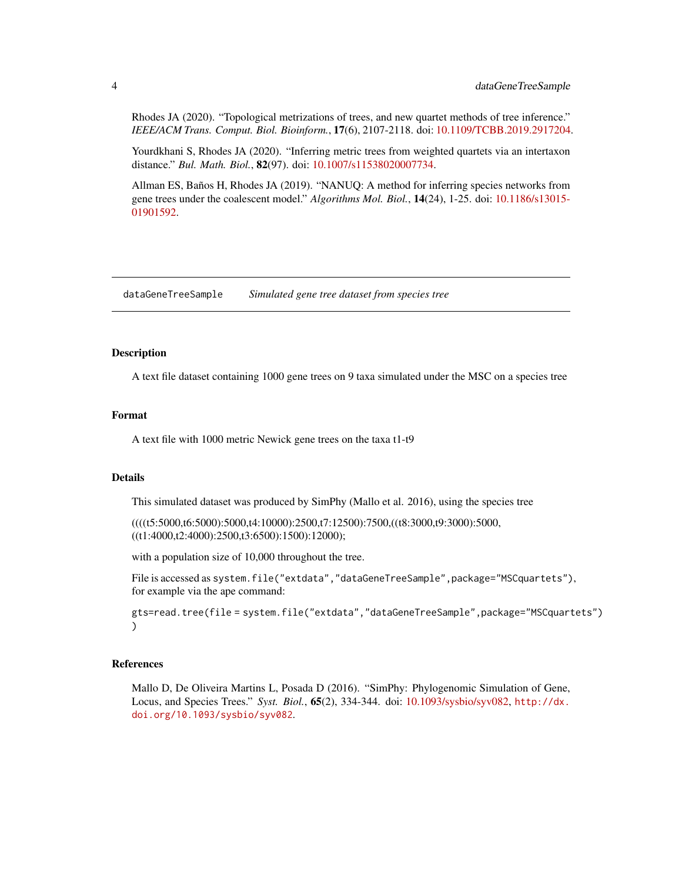<span id="page-3-0"></span>Rhodes JA (2020). "Topological metrizations of trees, and new quartet methods of tree inference." *IEEE/ACM Trans. Comput. Biol. Bioinform.*, 17(6), 2107-2118. doi: [10.1109/TCBB.2019.2917204.](https://doi.org/10.1109/TCBB.2019.2917204)

Yourdkhani S, Rhodes JA (2020). "Inferring metric trees from weighted quartets via an intertaxon distance." *Bul. Math. Biol.*, 82(97). doi: [10.1007/s11538020007734.](https://doi.org/10.1007/s11538-020-00773-4)

Allman ES, Baños H, Rhodes JA (2019). "NANUQ: A method for inferring species networks from gene trees under the coalescent model." *Algorithms Mol. Biol.*, 14(24), 1-25. doi: [10.1186/s13015-](https://doi.org/10.1186/s13015-019-0159-2) [01901592.](https://doi.org/10.1186/s13015-019-0159-2)

dataGeneTreeSample *Simulated gene tree dataset from species tree*

#### **Description**

A text file dataset containing 1000 gene trees on 9 taxa simulated under the MSC on a species tree

### Format

A text file with 1000 metric Newick gene trees on the taxa t1-t9

### Details

This simulated dataset was produced by SimPhy (Mallo et al. 2016), using the species tree

((((t5:5000,t6:5000):5000,t4:10000):2500,t7:12500):7500,((t8:3000,t9:3000):5000, ((t1:4000,t2:4000):2500,t3:6500):1500):12000);

with a population size of 10,000 throughout the tree.

File is accessed as system.file("extdata","dataGeneTreeSample",package="MSCquartets"), for example via the ape command:

gts=read.tree(file = system.file("extdata","dataGeneTreeSample",package="MSCquartets") )

### References

Mallo D, De Oliveira Martins L, Posada D (2016). "SimPhy: Phylogenomic Simulation of Gene, Locus, and Species Trees." *Syst. Biol.*, 65(2), 334-344. doi: [10.1093/sysbio/syv082,](https://doi.org/10.1093/sysbio/syv082) [http://dx.](http://dx.doi.org/10.1093/sysbio/syv082) [doi.org/10.1093/sysbio/syv082](http://dx.doi.org/10.1093/sysbio/syv082).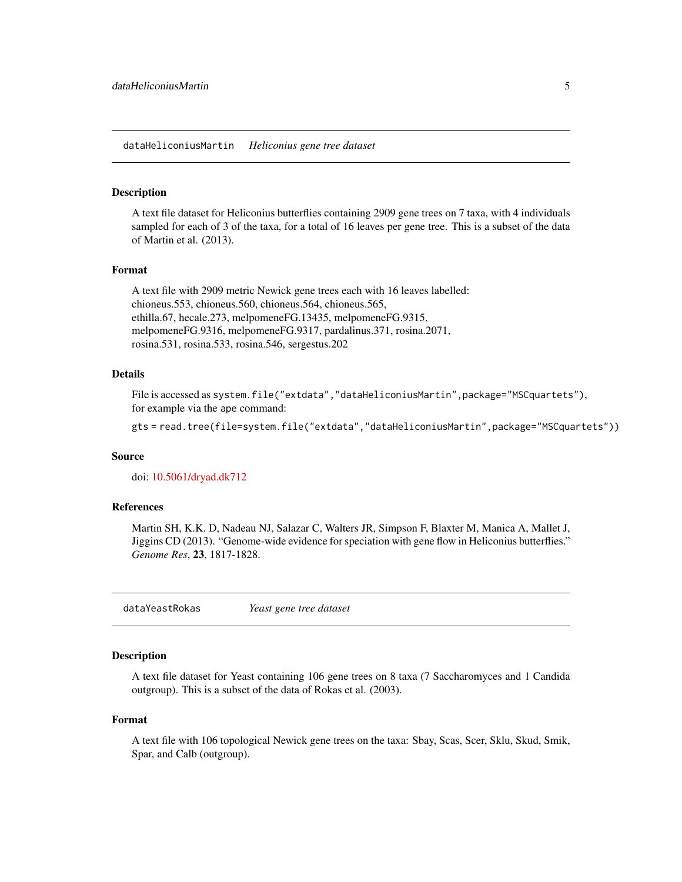<span id="page-4-0"></span>dataHeliconiusMartin *Heliconius gene tree dataset*

#### Description

A text file dataset for Heliconius butterflies containing 2909 gene trees on 7 taxa, with 4 individuals sampled for each of 3 of the taxa, for a total of 16 leaves per gene tree. This is a subset of the data of Martin et al. (2013).

### Format

```
A text file with 2909 metric Newick gene trees each with 16 leaves labelled:
chioneus.553, chioneus.560, chioneus.564, chioneus.565,
ethilla.67, hecale.273, melpomeneFG.13435, melpomeneFG.9315,
melpomeneFG.9316, melpomeneFG.9317, pardalinus.371, rosina.2071,
rosina.531, rosina.533, rosina.546, sergestus.202
```
### Details

File is accessed as system.file("extdata","dataHeliconiusMartin",package="MSCquartets"), for example via the ape command:

gts = read.tree(file=system.file("extdata","dataHeliconiusMartin",package="MSCquartets"))

#### Source

doi: [10.5061/dryad.dk712](https://doi.org/10.5061/dryad.dk712)

#### References

Martin SH, K.K. D, Nadeau NJ, Salazar C, Walters JR, Simpson F, Blaxter M, Manica A, Mallet J, Jiggins CD (2013). "Genome-wide evidence for speciation with gene flow in Heliconius butterflies." *Genome Res*, 23, 1817-1828.

dataYeastRokas *Yeast gene tree dataset*

### Description

A text file dataset for Yeast containing 106 gene trees on 8 taxa (7 Saccharomyces and 1 Candida outgroup). This is a subset of the data of Rokas et al. (2003).

#### Format

A text file with 106 topological Newick gene trees on the taxa: Sbay, Scas, Scer, Sklu, Skud, Smik, Spar, and Calb (outgroup).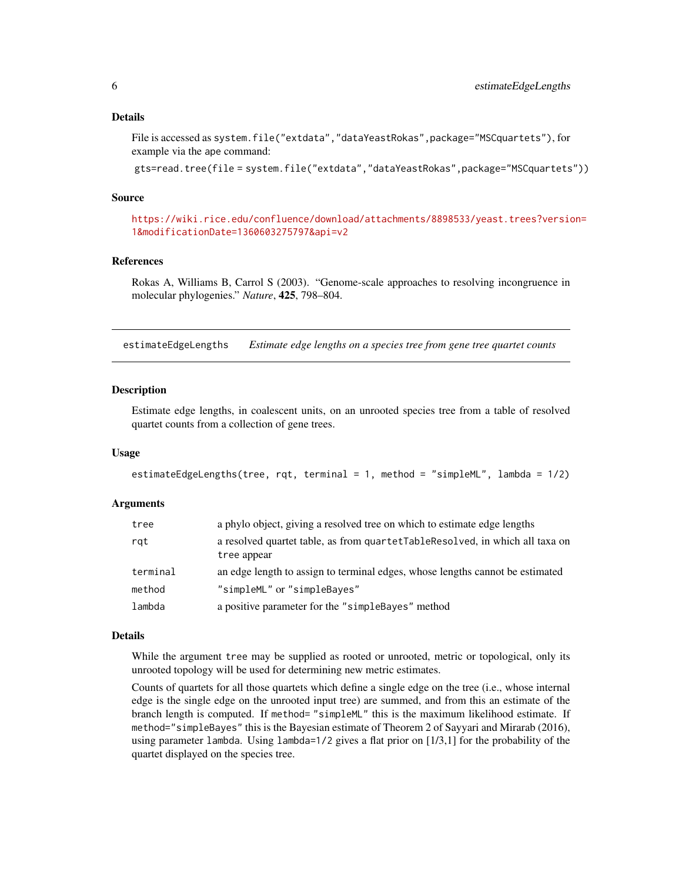### <span id="page-5-0"></span>Details

File is accessed as system.file("extdata","dataYeastRokas",package="MSCquartets"), for example via the ape command:

gts=read.tree(file = system.file("extdata","dataYeastRokas",package="MSCquartets"))

### Source

[https://wiki.rice.edu/confluence/download/attachments/8898533/yeast.trees?versio](https://wiki.rice.edu/confluence/download/attachments/8898533/yeast.trees?version=1&modificationDate=1360603275797&api=v2)n= [1&modificationDate=1360603275797&api=v2](https://wiki.rice.edu/confluence/download/attachments/8898533/yeast.trees?version=1&modificationDate=1360603275797&api=v2)

#### References

Rokas A, Williams B, Carrol S (2003). "Genome-scale approaches to resolving incongruence in molecular phylogenies." *Nature*, 425, 798–804.

<span id="page-5-1"></span>estimateEdgeLengths *Estimate edge lengths on a species tree from gene tree quartet counts*

### Description

Estimate edge lengths, in coalescent units, on an unrooted species tree from a table of resolved quartet counts from a collection of gene trees.

#### Usage

```
estimateEdgeLengths(tree, rqt, terminal = 1, method = "simpleML", lambda = 1/2)
```
### Arguments

| tree     | a phylo object, giving a resolved tree on which to estimate edge lengths                      |  |
|----------|-----------------------------------------------------------------------------------------------|--|
| rgt      | a resolved quartet table, as from quartet Table Resolved, in which all taxa on<br>tree appear |  |
| terminal | an edge length to assign to terminal edges, whose lengths cannot be estimated                 |  |
| method   | "simpleML" or "simpleBayes"                                                                   |  |
| lambda   | a positive parameter for the "simpleBayes" method                                             |  |

#### Details

While the argument tree may be supplied as rooted or unrooted, metric or topological, only its unrooted topology will be used for determining new metric estimates.

Counts of quartets for all those quartets which define a single edge on the tree (i.e., whose internal edge is the single edge on the unrooted input tree) are summed, and from this an estimate of the branch length is computed. If method= "simpleML" this is the maximum likelihood estimate. If method="simpleBayes" this is the Bayesian estimate of Theorem 2 of Sayyari and Mirarab (2016), using parameter lambda. Using lambda= $1/2$  gives a flat prior on  $[1/3,1]$  for the probability of the quartet displayed on the species tree.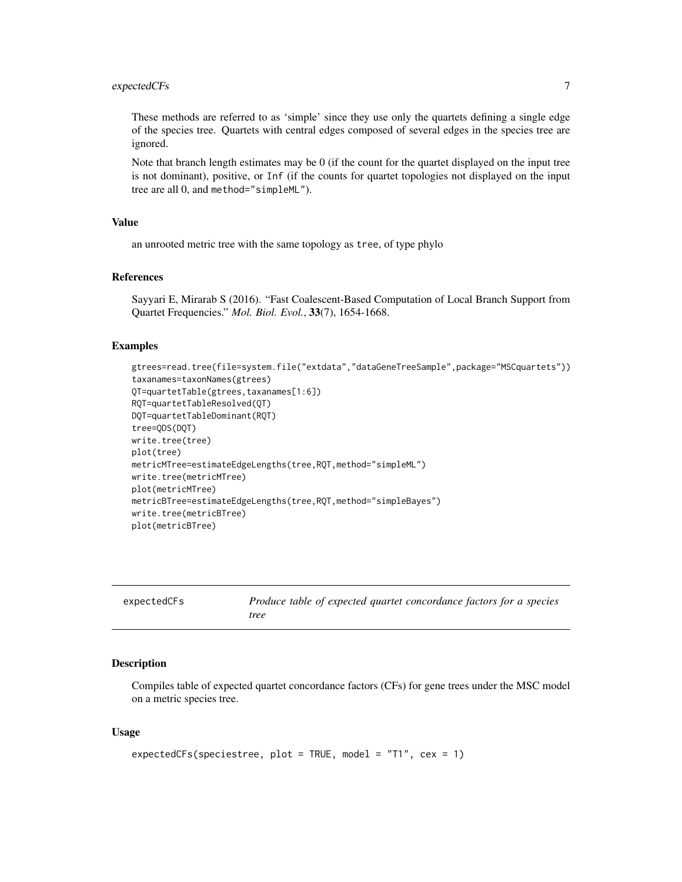### <span id="page-6-0"></span>expectedCFs 7

These methods are referred to as 'simple' since they use only the quartets defining a single edge of the species tree. Quartets with central edges composed of several edges in the species tree are ignored.

Note that branch length estimates may be 0 (if the count for the quartet displayed on the input tree is not dominant), positive, or Inf (if the counts for quartet topologies not displayed on the input tree are all 0, and method="simpleML").

#### Value

an unrooted metric tree with the same topology as tree, of type phylo

### References

Sayyari E, Mirarab S (2016). "Fast Coalescent-Based Computation of Local Branch Support from Quartet Frequencies." *Mol. Biol. Evol.*, 33(7), 1654-1668.

#### Examples

```
gtrees=read.tree(file=system.file("extdata","dataGeneTreeSample",package="MSCquartets"))
taxanames=taxonNames(gtrees)
QT=quartetTable(gtrees,taxanames[1:6])
RQT=quartetTableResolved(QT)
DQT=quartetTableDominant(RQT)
tree=QDS(DQT)
write.tree(tree)
plot(tree)
metricMTree=estimateEdgeLengths(tree,RQT,method="simpleML")
write.tree(metricMTree)
plot(metricMTree)
metricBTree=estimateEdgeLengths(tree,RQT,method="simpleBayes")
write.tree(metricBTree)
plot(metricBTree)
```

| expectedCFs | Produce table of expected quartet concordance factors for a species |
|-------------|---------------------------------------------------------------------|
|             | tree                                                                |

#### Description

Compiles table of expected quartet concordance factors (CFs) for gene trees under the MSC model on a metric species tree.

### Usage

```
expectedCFs(speciestree, plot = TRUE, model = "T1", cex = 1)
```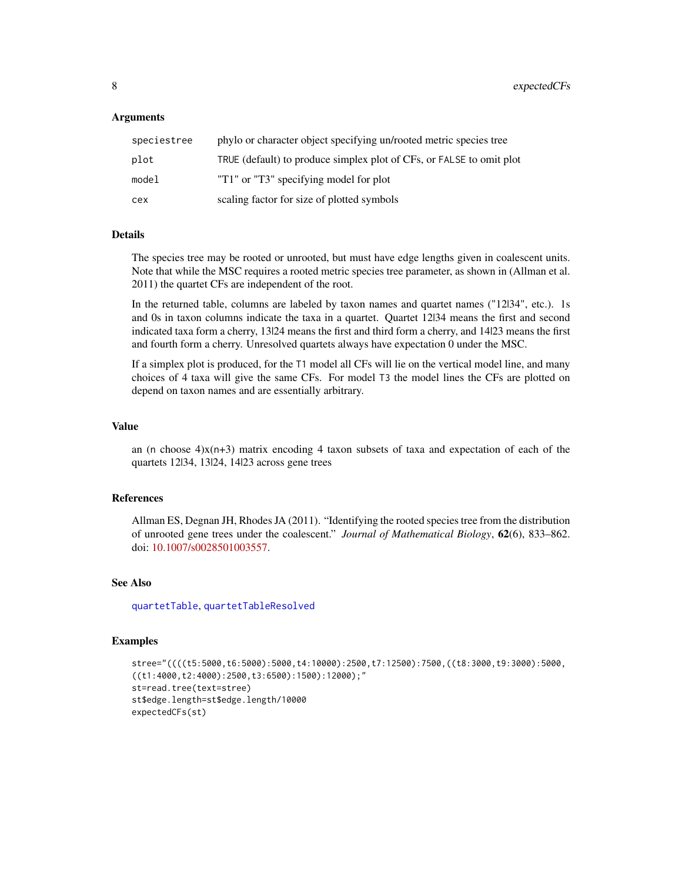### <span id="page-7-0"></span>Arguments

| speciestree | phylo or character object specifying un/rooted metric species tree   |
|-------------|----------------------------------------------------------------------|
| plot        | TRUE (default) to produce simplex plot of CFs, or FALSE to omit plot |
| model       | "T1" or "T3" specifying model for plot                               |
| сех         | scaling factor for size of plotted symbols                           |

#### Details

The species tree may be rooted or unrooted, but must have edge lengths given in coalescent units. Note that while the MSC requires a rooted metric species tree parameter, as shown in (Allman et al. 2011) the quartet CFs are independent of the root.

In the returned table, columns are labeled by taxon names and quartet names ("12|34", etc.). 1s and 0s in taxon columns indicate the taxa in a quartet. Quartet 12|34 means the first and second indicated taxa form a cherry, 13|24 means the first and third form a cherry, and 14|23 means the first and fourth form a cherry. Unresolved quartets always have expectation 0 under the MSC.

If a simplex plot is produced, for the T1 model all CFs will lie on the vertical model line, and many choices of 4 taxa will give the same CFs. For model T3 the model lines the CFs are plotted on depend on taxon names and are essentially arbitrary.

#### Value

an (n choose  $4x(n+3)$  matrix encoding 4 taxon subsets of taxa and expectation of each of the quartets 12|34, 13|24, 14|23 across gene trees

### References

Allman ES, Degnan JH, Rhodes JA (2011). "Identifying the rooted species tree from the distribution of unrooted gene trees under the coalescent." *Journal of Mathematical Biology*, 62(6), 833–862. doi: [10.1007/s0028501003557.](https://doi.org/10.1007/s00285-010-0355-7)

### See Also

[quartetTable](#page-21-1), [quartetTableResolved](#page-26-1)

```
stree="((((t5:5000,t6:5000):5000,t4:10000):2500,t7:12500):7500,((t8:3000,t9:3000):5000,
((t1:4000,t2:4000):2500,t3:6500):1500):12000);st=read.tree(text=stree)
st$edge.length=st$edge.length/10000
expectedCFs(st)
```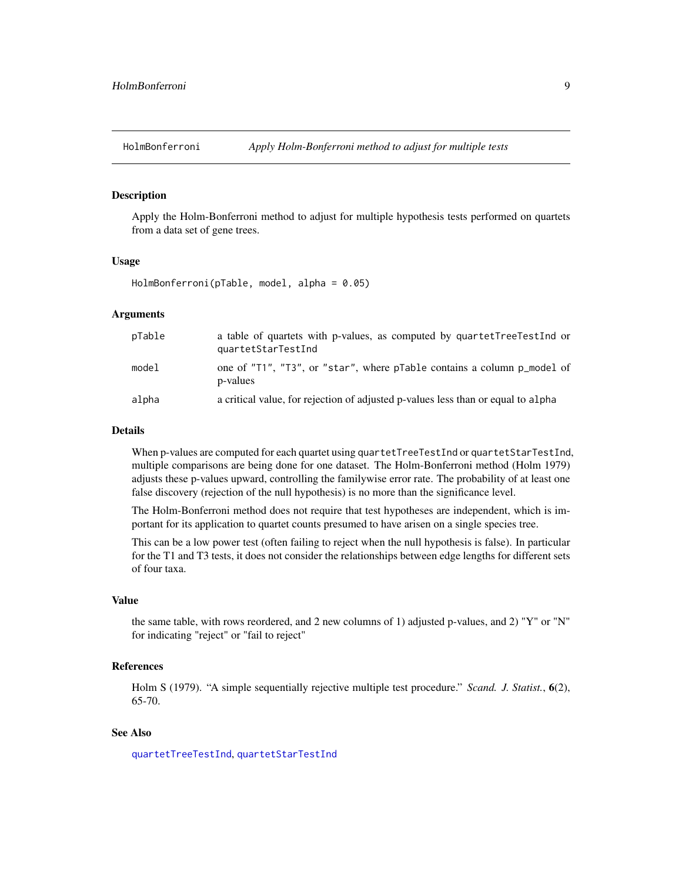<span id="page-8-0"></span>

### Description

Apply the Holm-Bonferroni method to adjust for multiple hypothesis tests performed on quartets from a data set of gene trees.

### Usage

HolmBonferroni(pTable, model, alpha = 0.05)

### Arguments

| pTable | a table of quartets with p-values, as computed by quartetTreeTestInd or<br>quartetStarTestInd |
|--------|-----------------------------------------------------------------------------------------------|
| model  | one of "T1", "T3", or "star", where pTable contains a column p_model of<br>p-values           |
| alpha  | a critical value, for rejection of adjusted p-values less than or equal to alpha              |

### Details

When p-values are computed for each quartet using quartetTreeTestInd or quartetStarTestInd, multiple comparisons are being done for one dataset. The Holm-Bonferroni method (Holm 1979) adjusts these p-values upward, controlling the familywise error rate. The probability of at least one false discovery (rejection of the null hypothesis) is no more than the significance level.

The Holm-Bonferroni method does not require that test hypotheses are independent, which is important for its application to quartet counts presumed to have arisen on a single species tree.

This can be a low power test (often failing to reject when the null hypothesis is false). In particular for the T1 and T3 tests, it does not consider the relationships between edge lengths for different sets of four taxa.

### Value

the same table, with rows reordered, and 2 new columns of 1) adjusted p-values, and 2) "Y" or "N" for indicating "reject" or "fail to reject"

### References

Holm S (1979). "A simple sequentially rejective multiple test procedure." *Scand. J. Statist.*, 6(2), 65-70.

### See Also

[quartetTreeTestInd](#page-31-1), [quartetStarTestInd](#page-20-1)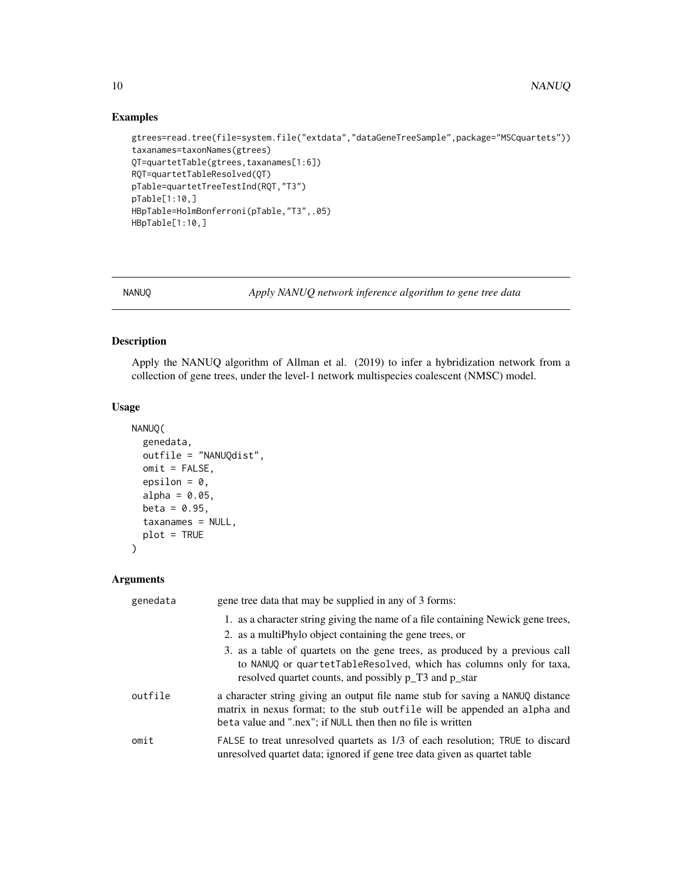### Examples

```
gtrees=read.tree(file=system.file("extdata","dataGeneTreeSample",package="MSCquartets"))
taxanames=taxonNames(gtrees)
QT=quartetTable(gtrees,taxanames[1:6])
RQT=quartetTableResolved(QT)
pTable=quartetTreeTestInd(RQT,"T3")
pTable[1:10,]
HBpTable=HolmBonferroni(pTable,"T3",.05)
HBpTable[1:10,]
```
<span id="page-9-1"></span>

NANUQ *Apply NANUQ network inference algorithm to gene tree data*

### Description

Apply the NANUQ algorithm of Allman et al. (2019) to infer a hybridization network from a collection of gene trees, under the level-1 network multispecies coalescent (NMSC) model.

### Usage

```
NANUQ(
  genedata,
  outfile = "NANUQdist",
 omit = FALSE,
  epsilon = 0,
  alpha = 0.05,
  beta = 0.95,
  taxanames = NULL,
 plot = TRUE
```
## Arguments

 $\mathcal{L}$ 

| genedata | gene tree data that may be supplied in any of 3 forms:                                                                                                                                                                      |
|----------|-----------------------------------------------------------------------------------------------------------------------------------------------------------------------------------------------------------------------------|
|          | 1. as a character string giving the name of a file containing Newick gene trees,                                                                                                                                            |
|          | 2. as a multiphylo object containing the gene trees, or                                                                                                                                                                     |
|          | 3. as a table of quartets on the gene trees, as produced by a previous call<br>to NANUQ or quartetTableResolved, which has columns only for taxa,<br>resolved quartet counts, and possibly p_T3 and p_star                  |
| outfile  | a character string giving an output file name stub for saving a NANUQ distance<br>matrix in nexus format; to the stub out file will be appended an alpha and<br>beta value and ".nex"; if NULL then then no file is written |
| omit     | FALSE to treat unresolved quartets as 1/3 of each resolution; TRUE to discard<br>unresolved quartet data; ignored if gene tree data given as quartet table                                                                  |

<span id="page-9-0"></span>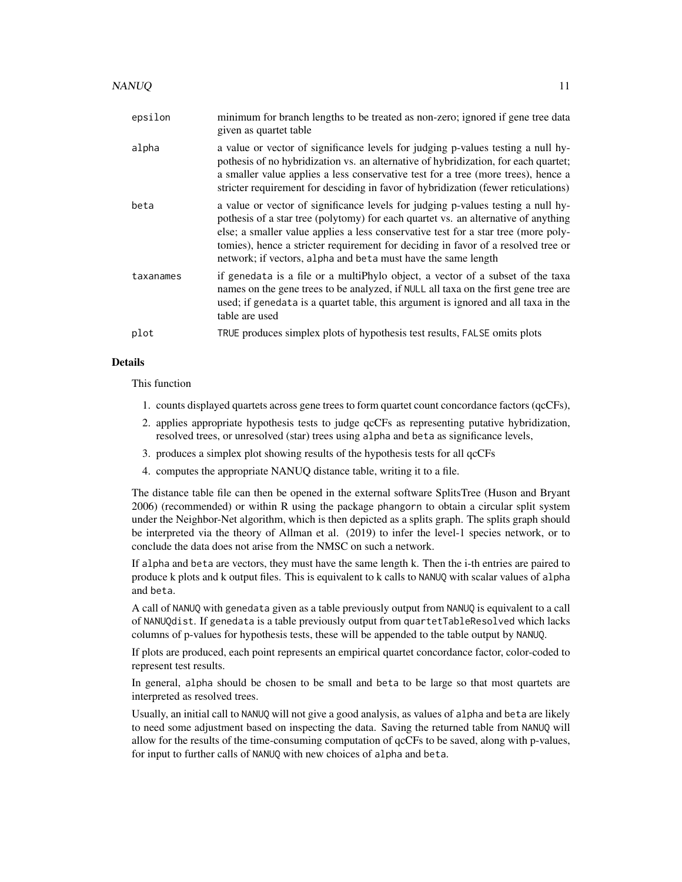| epsilon   | minimum for branch lengths to be treated as non-zero; ignored if gene tree data<br>given as quartet table                                                                                                                                                                                                                                                                                                          |
|-----------|--------------------------------------------------------------------------------------------------------------------------------------------------------------------------------------------------------------------------------------------------------------------------------------------------------------------------------------------------------------------------------------------------------------------|
| alpha     | a value or vector of significance levels for judging p-values testing a null hy-<br>pothesis of no hybridization vs. an alternative of hybridization, for each quartet;<br>a smaller value applies a less conservative test for a tree (more trees), hence a<br>stricter requirement for desciding in favor of hybridization (fewer reticulations)                                                                 |
| beta      | a value or vector of significance levels for judging p-values testing a null hy-<br>pothesis of a star tree (polytomy) for each quartet vs. an alternative of anything<br>else; a smaller value applies a less conservative test for a star tree (more poly-<br>tomies), hence a stricter requirement for deciding in favor of a resolved tree or<br>network; if vectors, alpha and beta must have the same length |
| taxanames | if genedata is a file or a multiPhylo object, a vector of a subset of the taxa<br>names on the gene trees to be analyzed, if NULL all taxa on the first gene tree are<br>used; if genedata is a quartet table, this argument is ignored and all taxa in the<br>table are used                                                                                                                                      |
| plot      | TRUE produces simplex plots of hypothesis test results, FALSE omits plots                                                                                                                                                                                                                                                                                                                                          |

### Details

This function

- 1. counts displayed quartets across gene trees to form quartet count concordance factors (qcCFs),
- 2. applies appropriate hypothesis tests to judge qcCFs as representing putative hybridization, resolved trees, or unresolved (star) trees using alpha and beta as significance levels,
- 3. produces a simplex plot showing results of the hypothesis tests for all qcCFs
- 4. computes the appropriate NANUQ distance table, writing it to a file.

The distance table file can then be opened in the external software SplitsTree (Huson and Bryant 2006) (recommended) or within R using the package phangorn to obtain a circular split system under the Neighbor-Net algorithm, which is then depicted as a splits graph. The splits graph should be interpreted via the theory of Allman et al. (2019) to infer the level-1 species network, or to conclude the data does not arise from the NMSC on such a network.

If alpha and beta are vectors, they must have the same length k. Then the i-th entries are paired to produce k plots and k output files. This is equivalent to k calls to NANUQ with scalar values of alpha and beta.

A call of NANUQ with genedata given as a table previously output from NANUQ is equivalent to a call of NANUQdist. If genedata is a table previously output from quartetTableResolved which lacks columns of p-values for hypothesis tests, these will be appended to the table output by NANUQ.

If plots are produced, each point represents an empirical quartet concordance factor, color-coded to represent test results.

In general, alpha should be chosen to be small and beta to be large so that most quartets are interpreted as resolved trees.

Usually, an initial call to NANUQ will not give a good analysis, as values of alpha and beta are likely to need some adjustment based on inspecting the data. Saving the returned table from NANUQ will allow for the results of the time-consuming computation of qcCFs to be saved, along with p-values, for input to further calls of NANUQ with new choices of alpha and beta.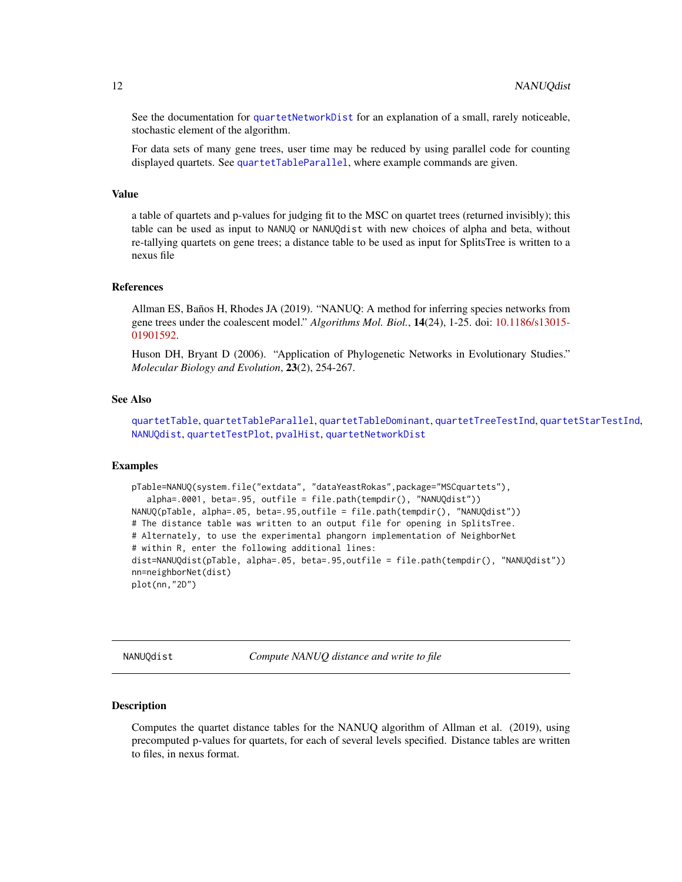<span id="page-11-0"></span>See the documentation for [quartetNetworkDist](#page-19-1) for an explanation of a small, rarely noticeable, stochastic element of the algorithm.

For data sets of many gene trees, user time may be reduced by using parallel code for counting displayed quartets. See [quartetTableParallel](#page-24-1), where example commands are given.

#### Value

a table of quartets and p-values for judging fit to the MSC on quartet trees (returned invisibly); this table can be used as input to NANUQ or NANUQdist with new choices of alpha and beta, without re-tallying quartets on gene trees; a distance table to be used as input for SplitsTree is written to a nexus file

### References

Allman ES, Baños H, Rhodes JA (2019). "NANUQ: A method for inferring species networks from gene trees under the coalescent model." *Algorithms Mol. Biol.*, 14(24), 1-25. doi: [10.1186/s13015-](https://doi.org/10.1186/s13015-019-0159-2) [01901592.](https://doi.org/10.1186/s13015-019-0159-2)

Huson DH, Bryant D (2006). "Application of Phylogenetic Networks in Evolutionary Studies." *Molecular Biology and Evolution*, 23(2), 254-267.

### See Also

[quartetTable](#page-21-1), [quartetTableParallel](#page-24-1), [quartetTableDominant](#page-23-1), [quartetTreeTestInd](#page-31-1), [quartetStarTestInd](#page-20-1), [NANUQdist](#page-11-1), [quartetTestPlot](#page-27-1), [pvalHist](#page-14-1), [quartetNetworkDist](#page-19-1)

### Examples

```
pTable=NANUQ(system.file("extdata", "dataYeastRokas",package="MSCquartets"),
   alpha=.0001, beta=.95, outfile = file.path(tempdir(), "NANUQdist"))
NANUQ(pTable, alpha=.05, beta=.95,outfile = file.path(tempdir(), "NANUQdist"))
# The distance table was written to an output file for opening in SplitsTree.
# Alternately, to use the experimental phangorn implementation of NeighborNet
# within R, enter the following additional lines:
dist=NANUQdist(pTable, alpha=.05, beta=.95,outfile = file.path(tempdir(), "NANUQdist"))
nn=neighborNet(dist)
plot(nn,"2D")
```
<span id="page-11-1"></span>NANUQdist *Compute NANUQ distance and write to file*

#### **Description**

Computes the quartet distance tables for the NANUQ algorithm of Allman et al. (2019), using precomputed p-values for quartets, for each of several levels specified. Distance tables are written to files, in nexus format.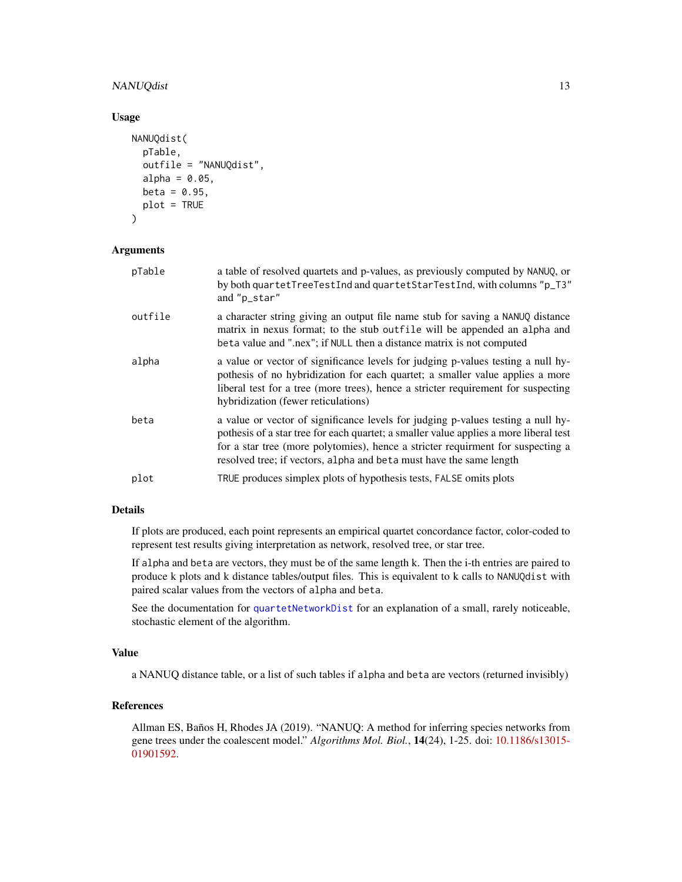### <span id="page-12-0"></span>NANUQdist 13

#### Usage

```
NANUQdist(
  pTable,
  outfile = "NANUQdist",
  alpha = 0.05,
 beta = 0.95,
 plot = TRUE
)
```
### Arguments

| pTable  | a table of resolved quartets and p-values, as previously computed by NANUQ, or<br>by both quartetTreeTestInd and quartetStarTestInd, with columns "p_T3"<br>and "p_star"                                                                                                                                                            |
|---------|-------------------------------------------------------------------------------------------------------------------------------------------------------------------------------------------------------------------------------------------------------------------------------------------------------------------------------------|
| outfile | a character string giving an output file name stub for saving a NANUQ distance<br>matrix in nexus format; to the stub outfile will be appended an alpha and<br>beta value and ".nex"; if NULL then a distance matrix is not computed                                                                                                |
| alpha   | a value or vector of significance levels for judging p-values testing a null hy-<br>pothesis of no hybridization for each quartet; a smaller value applies a more<br>liberal test for a tree (more trees), hence a stricter requirement for suspecting<br>hybridization (fewer reticulations)                                       |
| beta    | a value or vector of significance levels for judging p-values testing a null hy-<br>pothesis of a star tree for each quartet; a smaller value applies a more liberal test<br>for a star tree (more polytomies), hence a stricter requirment for suspecting a<br>resolved tree; if vectors, alpha and beta must have the same length |
| plot    | TRUE produces simplex plots of hypothesis tests, FALSE omits plots                                                                                                                                                                                                                                                                  |

### Details

If plots are produced, each point represents an empirical quartet concordance factor, color-coded to represent test results giving interpretation as network, resolved tree, or star tree.

If alpha and beta are vectors, they must be of the same length k. Then the i-th entries are paired to produce k plots and k distance tables/output files. This is equivalent to k calls to NANUQdist with paired scalar values from the vectors of alpha and beta.

See the documentation for [quartetNetworkDist](#page-19-1) for an explanation of a small, rarely noticeable, stochastic element of the algorithm.

### Value

a NANUQ distance table, or a list of such tables if alpha and beta are vectors (returned invisibly)

### References

Allman ES, Baños H, Rhodes JA (2019). "NANUQ: A method for inferring species networks from gene trees under the coalescent model." *Algorithms Mol. Biol.*, 14(24), 1-25. doi: [10.1186/s13015-](https://doi.org/10.1186/s13015-019-0159-2) [01901592.](https://doi.org/10.1186/s13015-019-0159-2)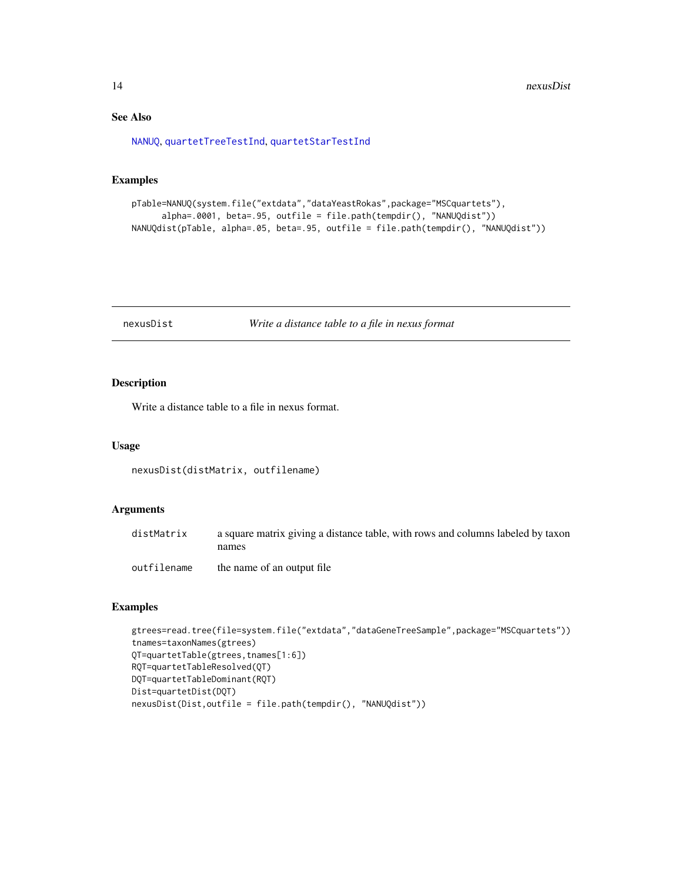### See Also

[NANUQ](#page-9-1), [quartetTreeTestInd](#page-31-1), [quartetStarTestInd](#page-20-1)

### Examples

```
pTable=NANUQ(system.file("extdata","dataYeastRokas",package="MSCquartets"),
     alpha=.0001, beta=.95, outfile = file.path(tempdir(), "NANUQdist"))
NANUQdist(pTable, alpha=.05, beta=.95, outfile = file.path(tempdir(), "NANUQdist"))
```
#### nexusDist *Write a distance table to a file in nexus format*

### Description

Write a distance table to a file in nexus format.

#### Usage

```
nexusDist(distMatrix, outfilename)
```
### Arguments

| distMatrix  | a square matrix giving a distance table, with rows and columns labeled by taxon<br>names |
|-------------|------------------------------------------------------------------------------------------|
| outfilename | the name of an output file                                                               |

```
gtrees=read.tree(file=system.file("extdata","dataGeneTreeSample",package="MSCquartets"))
tnames=taxonNames(gtrees)
QT=quartetTable(gtrees,tnames[1:6])
RQT=quartetTableResolved(QT)
DQT=quartetTableDominant(RQT)
Dist=quartetDist(DQT)
nexusDist(Dist,outfile = file.path(tempdir(), "NANUQdist"))
```
<span id="page-13-0"></span>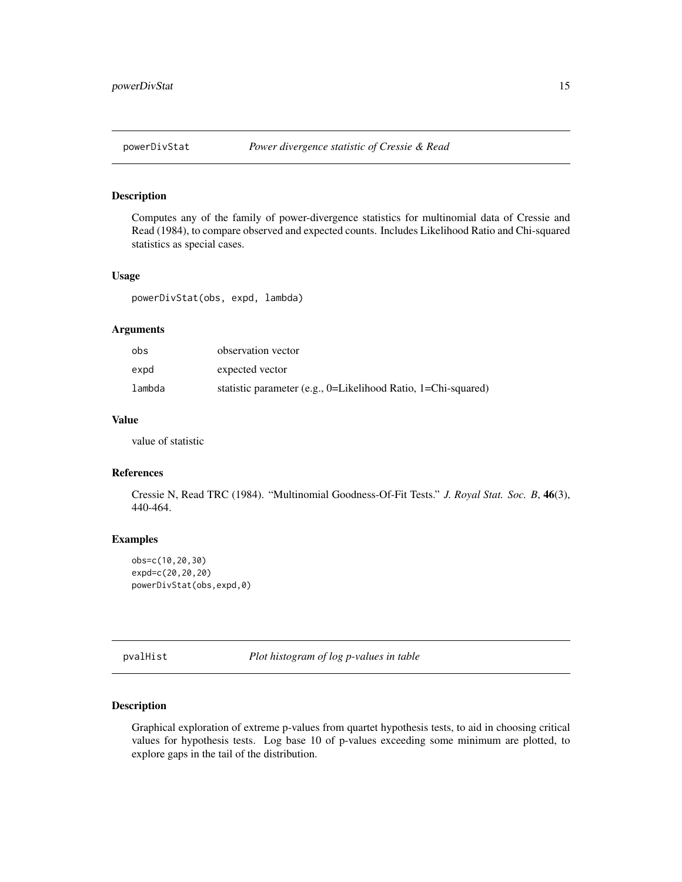<span id="page-14-0"></span>

### Description

Computes any of the family of power-divergence statistics for multinomial data of Cressie and Read (1984), to compare observed and expected counts. Includes Likelihood Ratio and Chi-squared statistics as special cases.

#### Usage

powerDivStat(obs, expd, lambda)

### Arguments

| obs    | observation vector                                               |
|--------|------------------------------------------------------------------|
| expd   | expected vector                                                  |
| lambda | statistic parameter (e.g., $0=$ Likelihood Ratio, 1=Chi-squared) |

### Value

value of statistic

#### References

Cressie N, Read TRC (1984). "Multinomial Goodness-Of-Fit Tests." *J. Royal Stat. Soc. B*, 46(3), 440-464.

### Examples

```
obs=c(10,20,30)
expd=c(20,20,20)
powerDivStat(obs,expd,0)
```
<span id="page-14-1"></span>pvalHist *Plot histogram of log p-values in table*

### Description

Graphical exploration of extreme p-values from quartet hypothesis tests, to aid in choosing critical values for hypothesis tests. Log base 10 of p-values exceeding some minimum are plotted, to explore gaps in the tail of the distribution.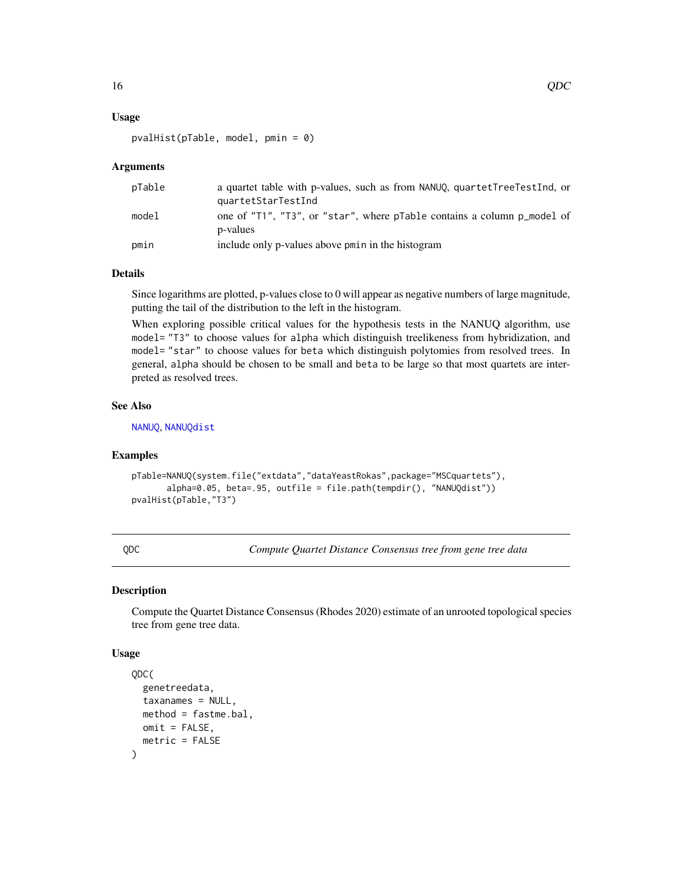### <span id="page-15-0"></span>Usage

```
pvalHist(pTable, model, pmin = 0)
```
#### Arguments

| pTable | a quartet table with p-values, such as from NANUQ, quartetTreeTestInd, or<br>quartetStarTestInd |
|--------|-------------------------------------------------------------------------------------------------|
| model  | one of "T1", "T3", or "star", where pTable contains a column p_model of<br>p-values             |
| pmin   | include only p-values above pmin in the histogram                                               |

### Details

Since logarithms are plotted, p-values close to 0 will appear as negative numbers of large magnitude, putting the tail of the distribution to the left in the histogram.

When exploring possible critical values for the hypothesis tests in the NANUQ algorithm, use model= "T3" to choose values for alpha which distinguish treelikeness from hybridization, and model= "star" to choose values for beta which distinguish polytomies from resolved trees. In general, alpha should be chosen to be small and beta to be large so that most quartets are interpreted as resolved trees.

### See Also

[NANUQ](#page-9-1), [NANUQdist](#page-11-1)

#### Examples

```
pTable=NANUQ(system.file("extdata","dataYeastRokas",package="MSCquartets"),
      alpha=0.05, beta=.95, outfile = file.path(tempdir(), "NANUQdist"))
pvalHist(pTable,"T3")
```
<span id="page-15-1"></span>

| I<br>c | ×<br>I |
|--------|--------|
|        |        |

QDC *Compute Quartet Distance Consensus tree from gene tree data*

#### Description

Compute the Quartet Distance Consensus (Rhodes 2020) estimate of an unrooted topological species tree from gene tree data.

### Usage

```
QDC(
  genetreedata,
  taxanames = NULL,
 method = fastme.bal,
 omit = FALSE,metric = FALSE
)
```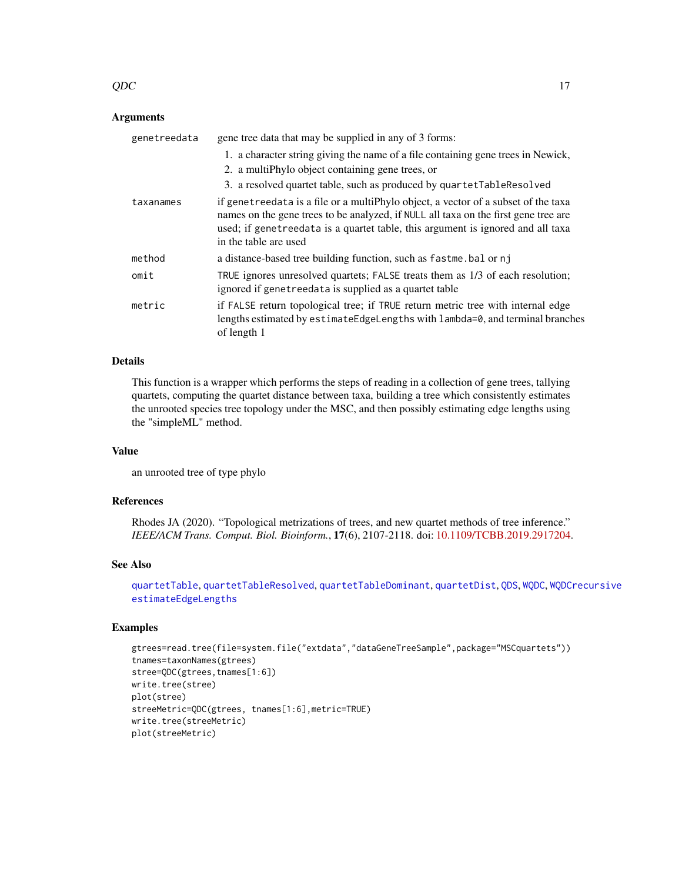#### <span id="page-16-0"></span> $QDC$  and  $17$

### **Arguments**

| genetreedata | gene tree data that may be supplied in any of 3 forms:                                                                                                                                                                                                                                 |
|--------------|----------------------------------------------------------------------------------------------------------------------------------------------------------------------------------------------------------------------------------------------------------------------------------------|
|              | 1. a character string giving the name of a file containing gene trees in Newick,                                                                                                                                                                                                       |
|              | 2. a multiPhylo object containing gene trees, or                                                                                                                                                                                                                                       |
|              | 3. a resolved quartet table, such as produced by quartetTableResolved                                                                                                                                                                                                                  |
| taxanames    | if genet reedata is a file or a multiphylo object, a vector of a subset of the taxa<br>names on the gene trees to be analyzed, if NULL all taxa on the first gene tree are<br>used; if genetreedata is a quartet table, this argument is ignored and all taxa<br>in the table are used |
| method       | a distance-based tree building function, such as fastme bal or nj                                                                                                                                                                                                                      |
| omit         | TRUE ignores unresolved quartets; FALSE treats them as 1/3 of each resolution;<br>ignored if genetreedata is supplied as a quartet table                                                                                                                                               |
| metric       | if FALSE return topological tree; if TRUE return metric tree with internal edge<br>lengths estimated by estimateEdgeLengths with lambda=0, and terminal branches<br>of length 1                                                                                                        |

### Details

This function is a wrapper which performs the steps of reading in a collection of gene trees, tallying quartets, computing the quartet distance between taxa, building a tree which consistently estimates the unrooted species tree topology under the MSC, and then possibly estimating edge lengths using the "simpleML" method.

#### Value

an unrooted tree of type phylo

### References

Rhodes JA (2020). "Topological metrizations of trees, and new quartet methods of tree inference." *IEEE/ACM Trans. Comput. Biol. Bioinform.*, 17(6), 2107-2118. doi: [10.1109/TCBB.2019.2917204.](https://doi.org/10.1109/TCBB.2019.2917204)

#### See Also

[quartetTable](#page-21-1), [quartetTableResolved](#page-26-1), [quartetTableDominant](#page-23-1), [quartetDist](#page-18-1), [QDS](#page-17-1), [WQDC](#page-39-1), [WQDCrecursive](#page-41-1) [estimateEdgeLengths](#page-5-1)

```
gtrees=read.tree(file=system.file("extdata","dataGeneTreeSample",package="MSCquartets"))
tnames=taxonNames(gtrees)
stree=QDC(gtrees,tnames[1:6])
write.tree(stree)
plot(stree)
streeMetric=QDC(gtrees, tnames[1:6],metric=TRUE)
write.tree(streeMetric)
plot(streeMetric)
```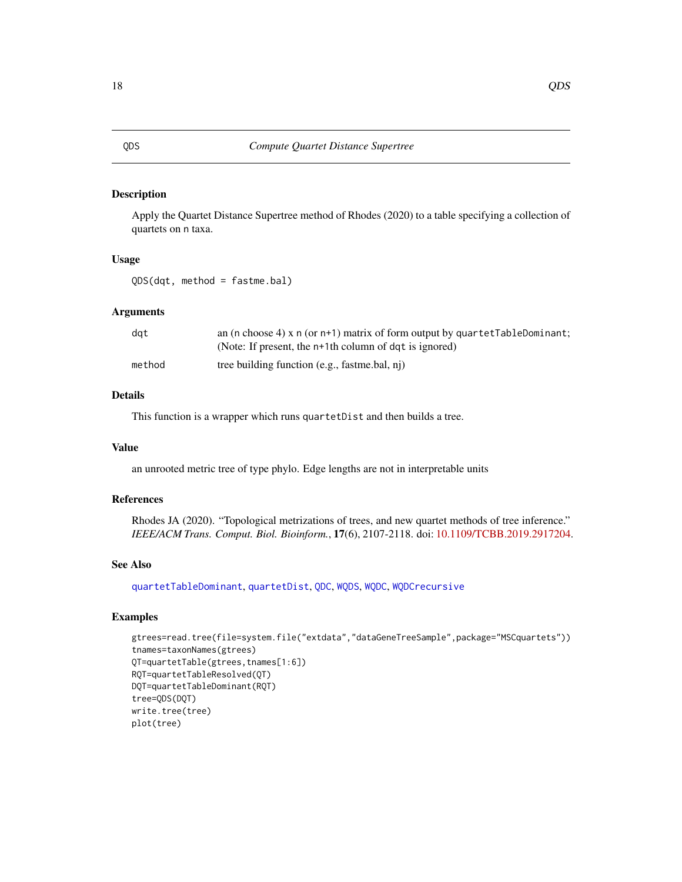### <span id="page-17-1"></span><span id="page-17-0"></span>Description

Apply the Quartet Distance Supertree method of Rhodes (2020) to a table specifying a collection of quartets on n taxa.

### Usage

QDS(dqt, method = fastme.bal)

### Arguments

| dat    | an (n choose 4) x $n$ (or $n+1$ ) matrix of form output by quartet TableDominant; |
|--------|-----------------------------------------------------------------------------------|
|        | (Note: If present, the n+1th column of dqt is ignored)                            |
| method | tree building function (e.g., fastme.bal, nj)                                     |

### Details

This function is a wrapper which runs quartetDist and then builds a tree.

### Value

an unrooted metric tree of type phylo. Edge lengths are not in interpretable units

### References

Rhodes JA (2020). "Topological metrizations of trees, and new quartet methods of tree inference." *IEEE/ACM Trans. Comput. Biol. Bioinform.*, 17(6), 2107-2118. doi: [10.1109/TCBB.2019.2917204.](https://doi.org/10.1109/TCBB.2019.2917204)

### See Also

[quartetTableDominant](#page-23-1), [quartetDist](#page-18-1), [QDC](#page-15-1), [WQDS](#page-42-1), [WQDC](#page-39-1), [WQDCrecursive](#page-41-1)

```
gtrees=read.tree(file=system.file("extdata","dataGeneTreeSample",package="MSCquartets"))
tnames=taxonNames(gtrees)
QT=quartetTable(gtrees,tnames[1:6])
RQT=quartetTableResolved(QT)
DQT=quartetTableDominant(RQT)
tree=QDS(DQT)
write.tree(tree)
plot(tree)
```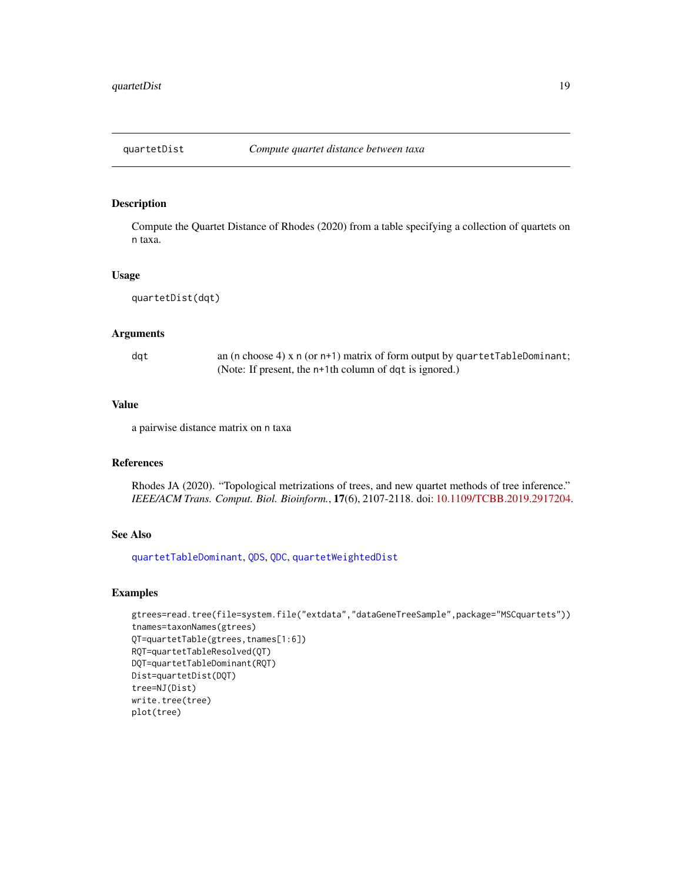<span id="page-18-1"></span><span id="page-18-0"></span>

### Description

Compute the Quartet Distance of Rhodes (2020) from a table specifying a collection of quartets on n taxa.

### Usage

quartetDist(dqt)

### Arguments

dqt an (n choose 4) x n (or n+1) matrix of form output by quartetTableDominant; (Note: If present, the n+1th column of dqt is ignored.)

### Value

a pairwise distance matrix on n taxa

### References

Rhodes JA (2020). "Topological metrizations of trees, and new quartet methods of tree inference." *IEEE/ACM Trans. Comput. Biol. Bioinform.*, 17(6), 2107-2118. doi: [10.1109/TCBB.2019.2917204.](https://doi.org/10.1109/TCBB.2019.2917204)

### See Also

[quartetTableDominant](#page-23-1), [QDS](#page-17-1), [QDC](#page-15-1), [quartetWeightedDist](#page-32-1)

```
gtrees=read.tree(file=system.file("extdata","dataGeneTreeSample",package="MSCquartets"))
tnames=taxonNames(gtrees)
QT=quartetTable(gtrees,tnames[1:6])
RQT=quartetTableResolved(QT)
DQT=quartetTableDominant(RQT)
Dist=quartetDist(DQT)
tree=NJ(Dist)
write.tree(tree)
plot(tree)
```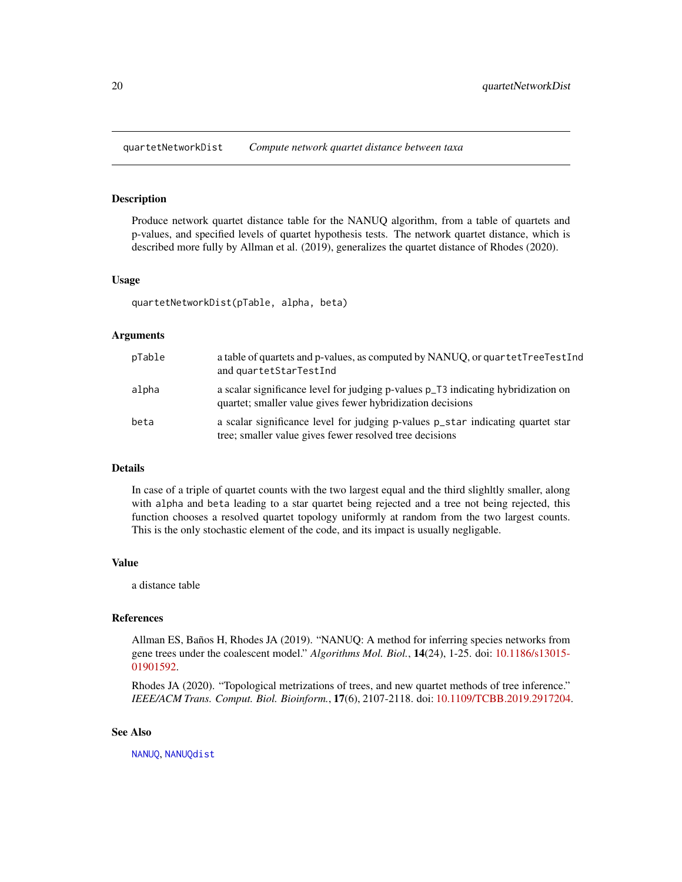<span id="page-19-1"></span><span id="page-19-0"></span>quartetNetworkDist *Compute network quartet distance between taxa*

#### **Description**

Produce network quartet distance table for the NANUQ algorithm, from a table of quartets and p-values, and specified levels of quartet hypothesis tests. The network quartet distance, which is described more fully by Allman et al. (2019), generalizes the quartet distance of Rhodes (2020).

#### Usage

quartetNetworkDist(pTable, alpha, beta)

### Arguments

| pTable | a table of quartets and p-values, as computed by NANUQ, or quartetTreeTestInd<br>and quartetStarTestInd                                         |
|--------|-------------------------------------------------------------------------------------------------------------------------------------------------|
| alpha  | a scalar significance level for judging p-values p_T3 indicating hybridization on<br>quartet; smaller value gives fewer hybridization decisions |
| beta   | a scalar significance level for judging p-values p_star indicating quartet star<br>tree; smaller value gives fewer resolved tree decisions      |

### **Details**

In case of a triple of quartet counts with the two largest equal and the third slighltly smaller, along with alpha and beta leading to a star quartet being rejected and a tree not being rejected, this function chooses a resolved quartet topology uniformly at random from the two largest counts. This is the only stochastic element of the code, and its impact is usually negligable.

### Value

a distance table

### References

Allman ES, Baños H, Rhodes JA (2019). "NANUQ: A method for inferring species networks from gene trees under the coalescent model." *Algorithms Mol. Biol.*, 14(24), 1-25. doi: [10.1186/s13015-](https://doi.org/10.1186/s13015-019-0159-2) [01901592.](https://doi.org/10.1186/s13015-019-0159-2)

Rhodes JA (2020). "Topological metrizations of trees, and new quartet methods of tree inference." *IEEE/ACM Trans. Comput. Biol. Bioinform.*, 17(6), 2107-2118. doi: [10.1109/TCBB.2019.2917204.](https://doi.org/10.1109/TCBB.2019.2917204)

### See Also

[NANUQ](#page-9-1), [NANUQdist](#page-11-1)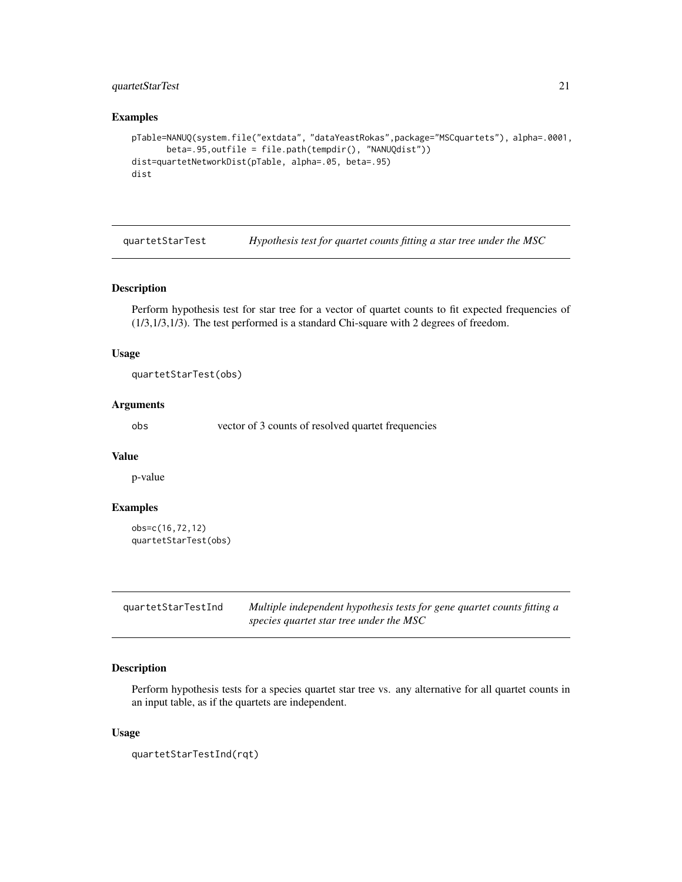### <span id="page-20-0"></span>quartetStarTest 21

### Examples

```
pTable=NANUQ(system.file("extdata", "dataYeastRokas",package="MSCquartets"), alpha=.0001,
      beta=.95,outfile = file.path(tempdir(), "NANUQdist"))
dist=quartetNetworkDist(pTable, alpha=.05, beta=.95)
dist
```
<span id="page-20-2"></span>quartetStarTest *Hypothesis test for quartet counts fitting a star tree under the MSC*

### Description

Perform hypothesis test for star tree for a vector of quartet counts to fit expected frequencies of (1/3,1/3,1/3). The test performed is a standard Chi-square with 2 degrees of freedom.

### Usage

quartetStarTest(obs)

### Arguments

obs vector of 3 counts of resolved quartet frequencies

#### Value

p-value

### Examples

```
obs=c(16,72,12)
quartetStarTest(obs)
```
<span id="page-20-1"></span>

| quartetStarTestInd | Multiple independent hypothesis tests for gene quartet counts fitting a |
|--------------------|-------------------------------------------------------------------------|
|                    | species quartet star tree under the MSC                                 |

### Description

Perform hypothesis tests for a species quartet star tree vs. any alternative for all quartet counts in an input table, as if the quartets are independent.

#### Usage

```
quartetStarTestInd(rqt)
```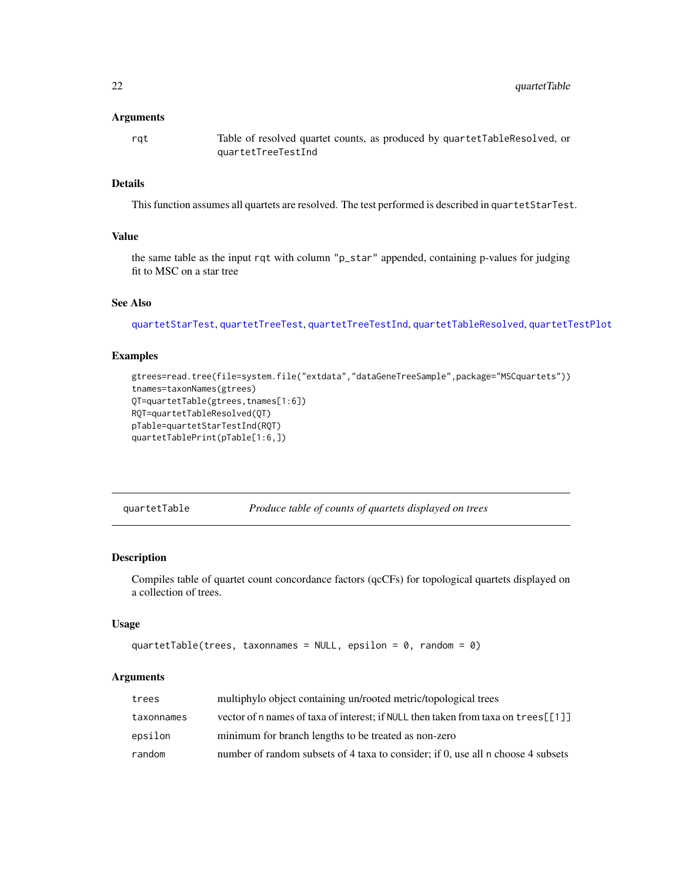#### <span id="page-21-0"></span>Arguments

rqt Table of resolved quartet counts, as produced by quartetTableResolved, or quartetTreeTestInd

### Details

This function assumes all quartets are resolved. The test performed is described in quartetStarTest.

### Value

the same table as the input rqt with column "p\_star" appended, containing p-values for judging fit to MSC on a star tree

#### See Also

[quartetStarTest](#page-20-2), [quartetTreeTest](#page-29-1), [quartetTreeTestInd](#page-31-1), [quartetTableResolved](#page-26-1), [quartetTestPlot](#page-27-1)

### Examples

```
gtrees=read.tree(file=system.file("extdata","dataGeneTreeSample",package="MSCquartets"))
tnames=taxonNames(gtrees)
QT=quartetTable(gtrees,tnames[1:6])
RQT=quartetTableResolved(QT)
pTable=quartetStarTestInd(RQT)
quartetTablePrint(pTable[1:6,])
```
<span id="page-21-1"></span>quartetTable *Produce table of counts of quartets displayed on trees*

### Description

Compiles table of quartet count concordance factors (qcCFs) for topological quartets displayed on a collection of trees.

### Usage

```
quartetTable(trees, taxonnames = NULL, epsilon = 0, random = 0)
```
#### Arguments

| trees      | multiphylo object containing un/rooted metric/topological trees                    |
|------------|------------------------------------------------------------------------------------|
| taxonnames | vector of n names of taxa of interest; if NULL then taken from taxa on trees [[1]] |
| epsilon    | minimum for branch lengths to be treated as non-zero                               |
| random     | number of random subsets of 4 taxa to consider; if 0, use all n choose 4 subsets   |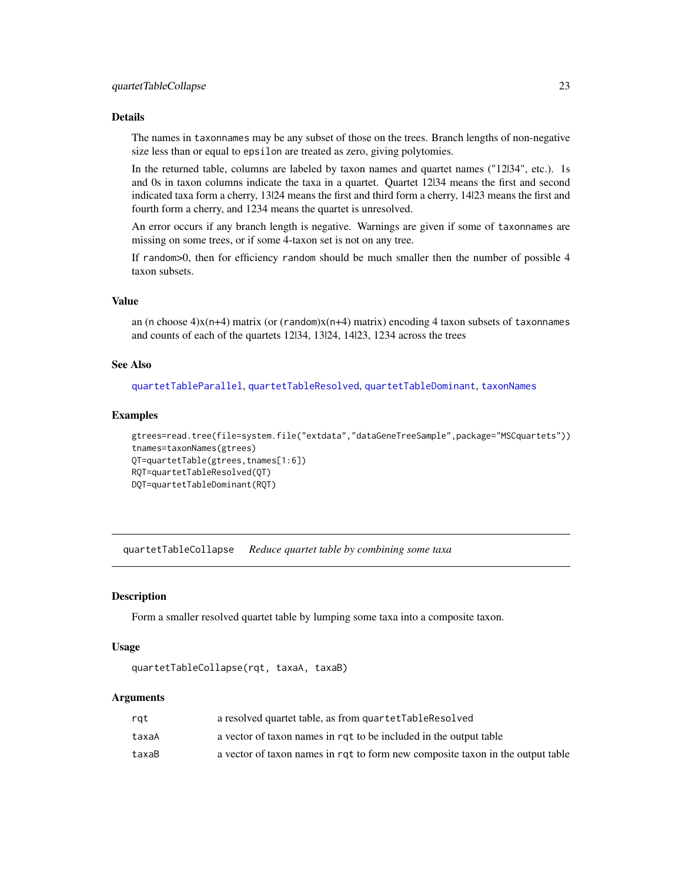### <span id="page-22-0"></span>Details

The names in taxonnames may be any subset of those on the trees. Branch lengths of non-negative size less than or equal to epsilon are treated as zero, giving polytomies.

In the returned table, columns are labeled by taxon names and quartet names ("12|34", etc.). 1s and 0s in taxon columns indicate the taxa in a quartet. Quartet 12|34 means the first and second indicated taxa form a cherry, 13|24 means the first and third form a cherry, 14|23 means the first and fourth form a cherry, and 1234 means the quartet is unresolved.

An error occurs if any branch length is negative. Warnings are given if some of taxonnames are missing on some trees, or if some 4-taxon set is not on any tree.

If random>0, then for efficiency random should be much smaller then the number of possible 4 taxon subsets.

### Value

an (n choose  $4$ )x(n+4) matrix (or (random)x(n+4) matrix) encoding 4 taxon subsets of taxonnames and counts of each of the quartets 12|34, 13|24, 14|23, 1234 across the trees

### See Also

[quartetTableParallel](#page-24-1), [quartetTableResolved](#page-26-1), [quartetTableDominant](#page-23-1), [taxonNames](#page-39-2)

#### Examples

```
gtrees=read.tree(file=system.file("extdata","dataGeneTreeSample",package="MSCquartets"))
tnames=taxonNames(gtrees)
QT=quartetTable(gtrees,tnames[1:6])
RQT=quartetTableResolved(QT)
DQT=quartetTableDominant(RQT)
```
<span id="page-22-1"></span>quartetTableCollapse *Reduce quartet table by combining some taxa*

#### **Description**

Form a smaller resolved quartet table by lumping some taxa into a composite taxon.

#### Usage

```
quartetTableCollapse(rqt, taxaA, taxaB)
```
### Arguments

| rat   | a resolved quartet table, as from quartetTableResolved                         |
|-------|--------------------------------------------------------------------------------|
| taxaA | a vector of taxon names in rqt to be included in the output table              |
| taxaB | a vector of taxon names in rqt to form new composite taxon in the output table |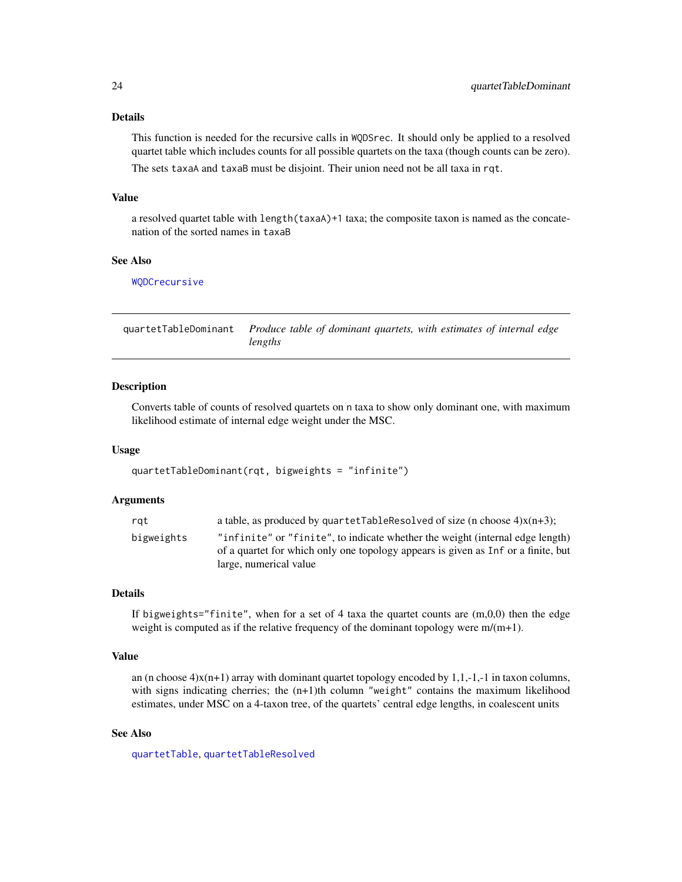### Details

This function is needed for the recursive calls in WQDSrec. It should only be applied to a resolved quartet table which includes counts for all possible quartets on the taxa (though counts can be zero). The sets taxaA and taxaB must be disjoint. Their union need not be all taxa in rqt.

### Value

a resolved quartet table with length(taxaA)+1 taxa; the composite taxon is named as the concatenation of the sorted names in taxaB

#### See Also

### [WQDCrecursive](#page-41-1)

<span id="page-23-1"></span>

| quartetTableDominant Produce table of dominant quartets, with estimates of internal edge |
|------------------------------------------------------------------------------------------|
| lengths                                                                                  |

### Description

Converts table of counts of resolved quartets on n taxa to show only dominant one, with maximum likelihood estimate of internal edge weight under the MSC.

#### Usage

```
quartetTableDominant(rqt, bigweights = "infinite")
```
### Arguments

| rat        | a table, as produced by quartetTableResolved of size (n choose $4$ ) $x(n+3)$ ;                                                                                    |
|------------|--------------------------------------------------------------------------------------------------------------------------------------------------------------------|
| bigweights | "infinite" or "finite", to indicate whether the weight (internal edge length)<br>of a quartet for which only one topology appears is given as Inf or a finite, but |
|            | large, numerical value                                                                                                                                             |

### Details

If bigweights="finite", when for a set of 4 taxa the quartet counts are  $(m,0,0)$  then the edge weight is computed as if the relative frequency of the dominant topology were m/(m+1).

### Value

an (n choose  $4$ )x(n+1) array with dominant quartet topology encoded by 1,1,-1,-1 in taxon columns, with signs indicating cherries; the  $(n+1)$ th column "weight" contains the maximum likelihood estimates, under MSC on a 4-taxon tree, of the quartets' central edge lengths, in coalescent units

### See Also

[quartetTable](#page-21-1), [quartetTableResolved](#page-26-1)

<span id="page-23-0"></span>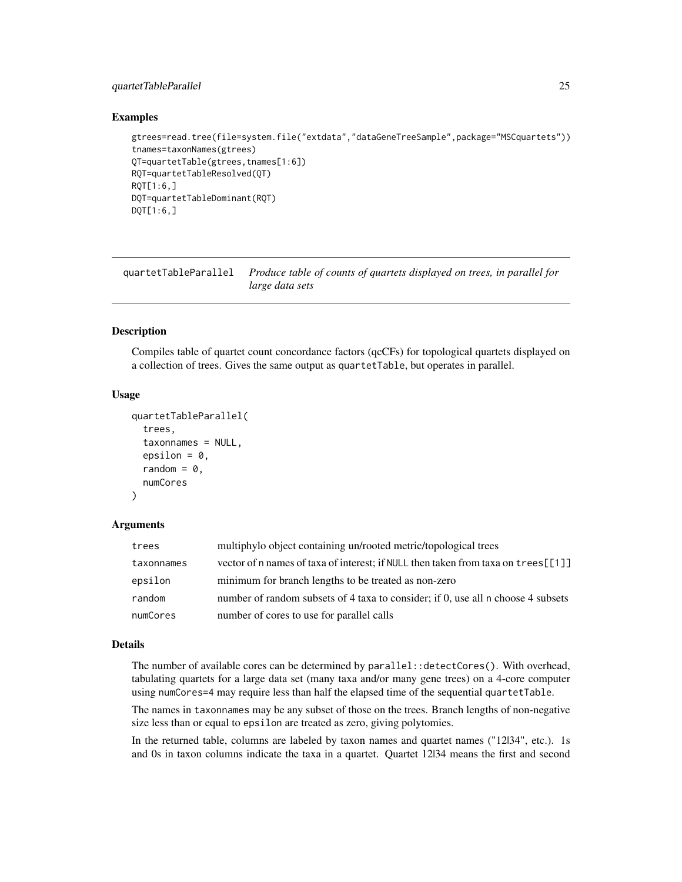### <span id="page-24-0"></span>quartetTableParallel 25

### Examples

```
gtrees=read.tree(file=system.file("extdata","dataGeneTreeSample",package="MSCquartets"))
tnames=taxonNames(gtrees)
QT=quartetTable(gtrees,tnames[1:6])
RQT=quartetTableResolved(QT)
RQT[1:6,]
DQT=quartetTableDominant(RQT)
DQT[1:6,]
```
<span id="page-24-1"></span>quartetTableParallel *Produce table of counts of quartets displayed on trees, in parallel for large data sets*

#### Description

Compiles table of quartet count concordance factors (qcCFs) for topological quartets displayed on a collection of trees. Gives the same output as quartetTable, but operates in parallel.

#### Usage

```
quartetTableParallel(
  trees,
  taxonnames = NULL,
  epsilon = 0,
  random = \theta,
  numCores
)
```
#### Arguments

| trees      | multiphylo object containing un/rooted metric/topological trees                       |
|------------|---------------------------------------------------------------------------------------|
| taxonnames | vector of n names of taxa of interest; if NULL then taken from taxa on $t$ rees [[1]] |
| epsilon    | minimum for branch lengths to be treated as non-zero                                  |
| random     | number of random subsets of 4 taxa to consider; if 0, use all n choose 4 subsets      |
| numCores   | number of cores to use for parallel calls                                             |

### Details

The number of available cores can be determined by parallel: : detectCores(). With overhead, tabulating quartets for a large data set (many taxa and/or many gene trees) on a 4-core computer using numCores=4 may require less than half the elapsed time of the sequential quartetTable.

The names in taxonnames may be any subset of those on the trees. Branch lengths of non-negative size less than or equal to epsilon are treated as zero, giving polytomies.

In the returned table, columns are labeled by taxon names and quartet names ("12|34", etc.). 1s and 0s in taxon columns indicate the taxa in a quartet. Quartet 12|34 means the first and second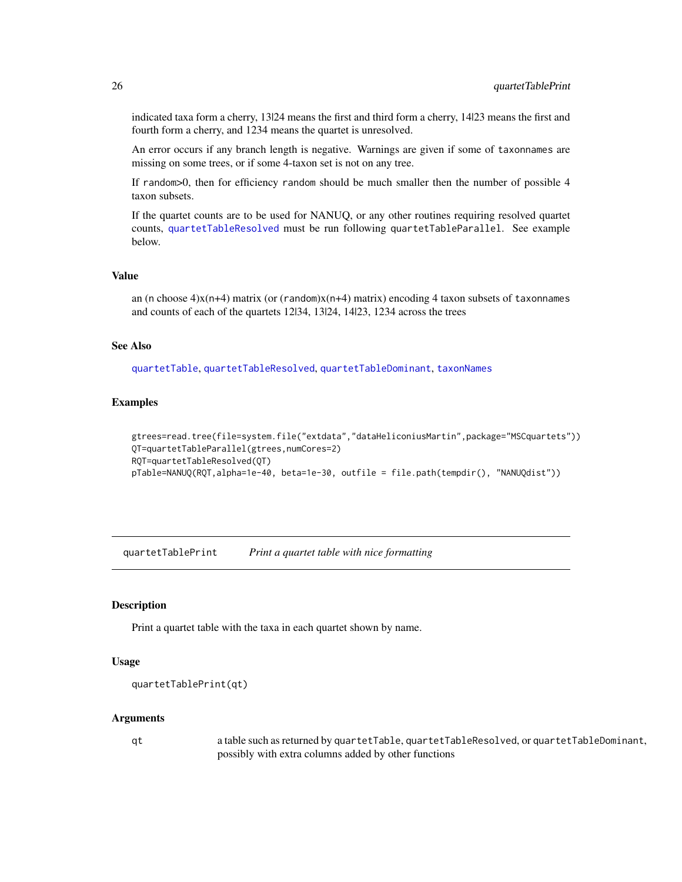<span id="page-25-0"></span>indicated taxa form a cherry, 13|24 means the first and third form a cherry, 14|23 means the first and fourth form a cherry, and 1234 means the quartet is unresolved.

An error occurs if any branch length is negative. Warnings are given if some of taxonnames are missing on some trees, or if some 4-taxon set is not on any tree.

If random>0, then for efficiency random should be much smaller then the number of possible 4 taxon subsets.

If the quartet counts are to be used for NANUQ, or any other routines requiring resolved quartet counts, [quartetTableResolved](#page-26-1) must be run following quartetTableParallel. See example below.

#### Value

an (n choose  $4$ )x(n+4) matrix (or (random)x(n+4) matrix) encoding 4 taxon subsets of taxonnames and counts of each of the quartets 12|34, 13|24, 14|23, 1234 across the trees

#### See Also

[quartetTable](#page-21-1), [quartetTableResolved](#page-26-1), [quartetTableDominant](#page-23-1), [taxonNames](#page-39-2)

### Examples

```
gtrees=read.tree(file=system.file("extdata","dataHeliconiusMartin",package="MSCquartets"))
QT=quartetTableParallel(gtrees,numCores=2)
RQT=quartetTableResolved(QT)
pTable=NANUQ(RQT,alpha=1e-40, beta=1e-30, outfile = file.path(tempdir(), "NANUQdist"))
```
quartetTablePrint *Print a quartet table with nice formatting*

#### Description

Print a quartet table with the taxa in each quartet shown by name.

#### Usage

```
quartetTablePrint(qt)
```
#### **Arguments**

qt a table such as returned by quartetTable, quartetTableResolved, or quartetTableDominant, possibly with extra columns added by other functions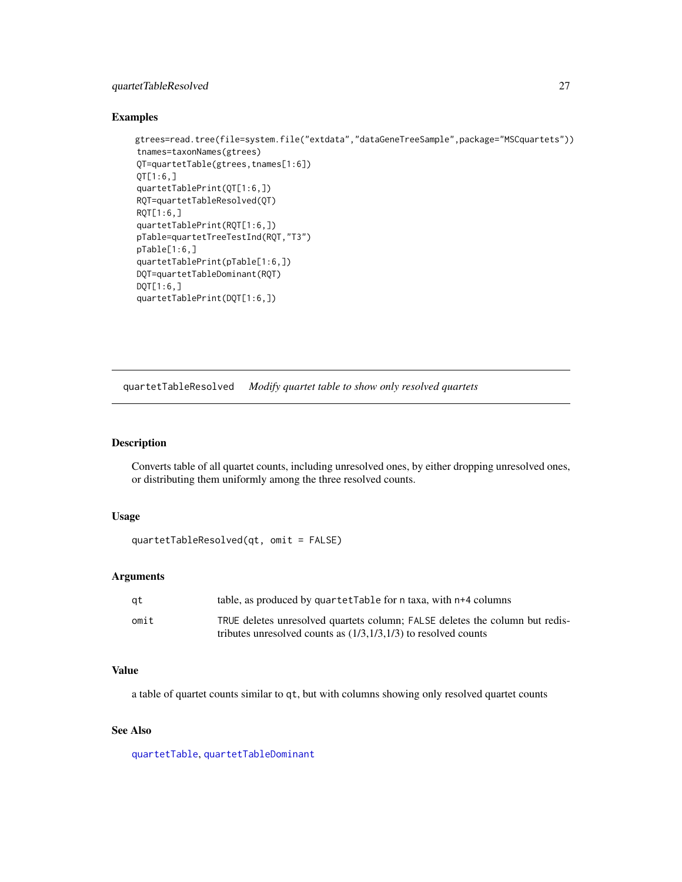### <span id="page-26-0"></span>quartetTableResolved 27

#### Examples

```
gtrees=read.tree(file=system.file("extdata","dataGeneTreeSample",package="MSCquartets"))
tnames=taxonNames(gtrees)
QT=quartetTable(gtrees,tnames[1:6])
QT[1:6,]
quartetTablePrint(QT[1:6,])
RQT=quartetTableResolved(QT)
RQT[1:6,]
quartetTablePrint(RQT[1:6,])
pTable=quartetTreeTestInd(RQT,"T3")
pTable[1:6,]
quartetTablePrint(pTable[1:6,])
DQT=quartetTableDominant(RQT)
DQT[1:6,]
quartetTablePrint(DQT[1:6,])
```
<span id="page-26-1"></span>quartetTableResolved *Modify quartet table to show only resolved quartets*

### Description

Converts table of all quartet counts, including unresolved ones, by either dropping unresolved ones, or distributing them uniformly among the three resolved counts.

#### Usage

```
quartetTableResolved(qt, omit = FALSE)
```
### Arguments

| at   | table, as produced by quartetTable for n taxa, with n+4 columns              |
|------|------------------------------------------------------------------------------|
| omit | TRUE deletes unresolved quartets column; FALSE deletes the column but redis- |
|      | tributes unresolved counts as $(1/3,1/3,1/3)$ to resolved counts             |

### Value

a table of quartet counts similar to qt, but with columns showing only resolved quartet counts

### See Also

[quartetTable](#page-21-1), [quartetTableDominant](#page-23-1)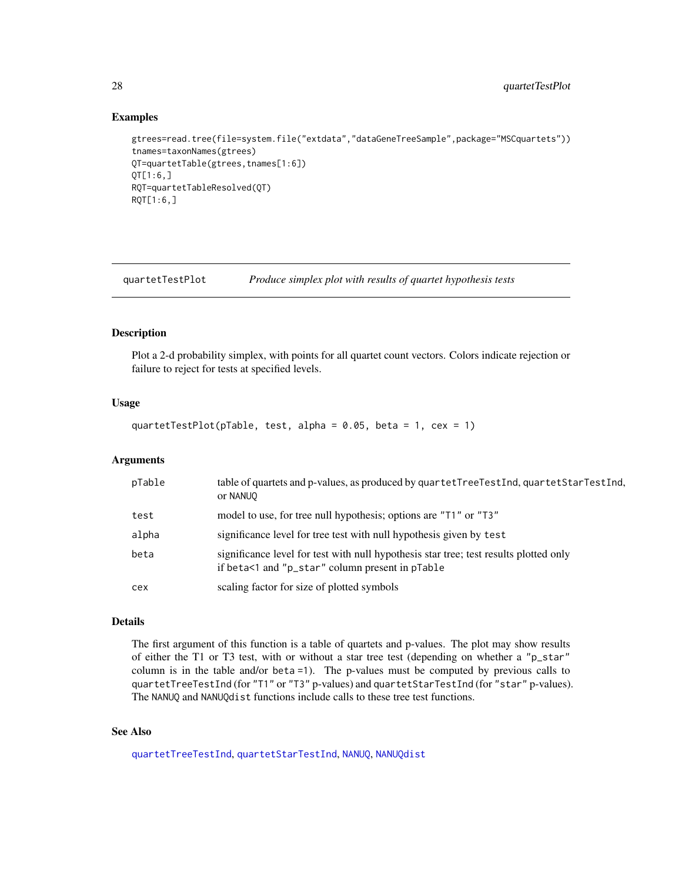### Examples

```
gtrees=read.tree(file=system.file("extdata","dataGeneTreeSample",package="MSCquartets"))
tnames=taxonNames(gtrees)
QT=quartetTable(gtrees,tnames[1:6])
QT[1:6,]
RQT=quartetTableResolved(QT)
RQT[1:6,]
```
<span id="page-27-1"></span>quartetTestPlot *Produce simplex plot with results of quartet hypothesis tests*

### Description

Plot a 2-d probability simplex, with points for all quartet count vectors. Colors indicate rejection or failure to reject for tests at specified levels.

### Usage

```
quartetTestPlot(pTable, test, alpha = 0.05, beta = 1, cex = 1)
```
### Arguments

| pTable | table of quartets and p-values, as produced by quartetTreeTestInd, quartetStarTestInd,<br>or NANUO                                       |
|--------|------------------------------------------------------------------------------------------------------------------------------------------|
| test   | model to use, for tree null hypothesis; options are "T1" or "T3"                                                                         |
| alpha  | significance level for tree test with null hypothesis given by test                                                                      |
| beta   | significance level for test with null hypothesis star tree; test results plotted only<br>if beta<1 and "p_star" column present in pTable |
| cex    | scaling factor for size of plotted symbols                                                                                               |

### Details

The first argument of this function is a table of quartets and p-values. The plot may show results of either the T1 or T3 test, with or without a star tree test (depending on whether a "p\_star" column is in the table and/or beta =1). The p-values must be computed by previous calls to quartetTreeTestInd (for "T1" or "T3" p-values) and quartetStarTestInd (for "star" p-values). The NANUQ and NANUQdist functions include calls to these tree test functions.

#### See Also

[quartetTreeTestInd](#page-31-1), [quartetStarTestInd](#page-20-1), [NANUQ](#page-9-1), [NANUQdist](#page-11-1)

<span id="page-27-0"></span>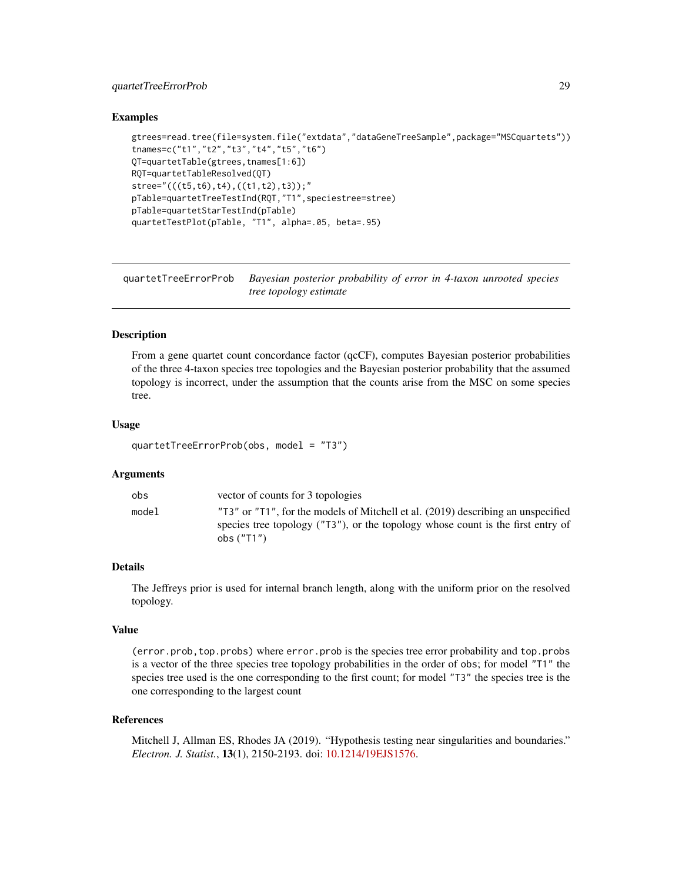### <span id="page-28-0"></span>quartetTreeErrorProb 29

### Examples

```
gtrees=read.tree(file=system.file("extdata","dataGeneTreeSample",package="MSCquartets"))
tnames=c("t1","t2","t3","t4","t5","t6")
QT=quartetTable(gtrees,tnames[1:6])
RQT=quartetTableResolved(QT)
stree="(((t5,t6),t4),((t1,t2),t3));"
pTable=quartetTreeTestInd(RQT,"T1",speciestree=stree)
pTable=quartetStarTestInd(pTable)
quartetTestPlot(pTable, "T1", alpha=.05, beta=.95)
```
quartetTreeErrorProb *Bayesian posterior probability of error in 4-taxon unrooted species tree topology estimate*

### **Description**

From a gene quartet count concordance factor (qcCF), computes Bayesian posterior probabilities of the three 4-taxon species tree topologies and the Bayesian posterior probability that the assumed topology is incorrect, under the assumption that the counts arise from the MSC on some species tree.

#### Usage

quartetTreeErrorProb(obs, model = "T3")

#### Arguments

| obs   | vector of counts for 3 topologies                                                                                                                                                   |
|-------|-------------------------------------------------------------------------------------------------------------------------------------------------------------------------------------|
| model | "T3" or "T1", for the models of Mitchell et al. (2019) describing an unspecified<br>species tree topology ("T3"), or the topology whose count is the first entry of<br>obs $("T1")$ |

#### Details

The Jeffreys prior is used for internal branch length, along with the uniform prior on the resolved topology.

### Value

(error.prob,top.probs) where error.prob is the species tree error probability and top.probs is a vector of the three species tree topology probabilities in the order of obs; for model "T1" the species tree used is the one corresponding to the first count; for model "T3" the species tree is the one corresponding to the largest count

#### References

Mitchell J, Allman ES, Rhodes JA (2019). "Hypothesis testing near singularities and boundaries." *Electron. J. Statist.*, 13(1), 2150-2193. doi: [10.1214/19EJS1576.](https://doi.org/10.1214/19-EJS1576)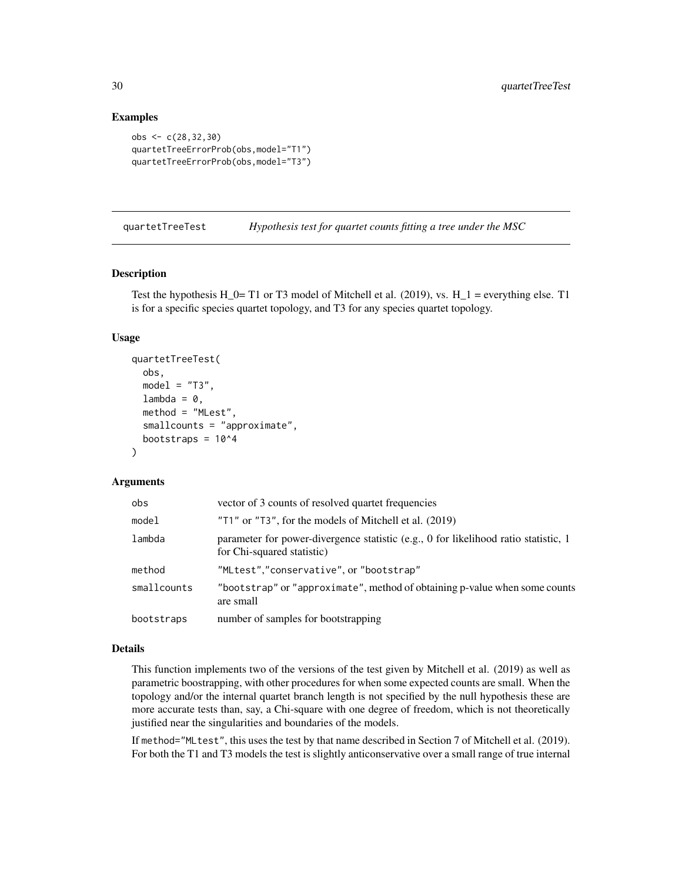### Examples

```
obs <- c(28,32,30)
quartetTreeErrorProb(obs,model="T1")
quartetTreeErrorProb(obs,model="T3")
```
<span id="page-29-1"></span>quartetTreeTest *Hypothesis test for quartet counts fitting a tree under the MSC*

### Description

Test the hypothesis H\_0= T1 or T3 model of Mitchell et al. (2019), vs.  $H_1$  = everything else. T1 is for a specific species quartet topology, and T3 for any species quartet topology.

#### Usage

```
quartetTreeTest(
 obs,
 model = "T3",lambda = 0,
 method = "MLest",
  smallcounts = "approximate",
 bootstraps = 10^4)
```
### **Arguments**

| obs         | vector of 3 counts of resolved quartet frequencies                                                                |
|-------------|-------------------------------------------------------------------------------------------------------------------|
| model       | "T1" or "T3", for the models of Mitchell et al. (2019)                                                            |
| lambda      | parameter for power-divergence statistic (e.g., 0 for likelihood ratio statistic, 1<br>for Chi-squared statistic) |
| method      | "MLtest","conservative", or "bootstrap"                                                                           |
| smallcounts | "bootstrap" or "approximate", method of obtaining p-value when some counts<br>are small                           |
| bootstraps  | number of samples for bootstrapping                                                                               |

### Details

This function implements two of the versions of the test given by Mitchell et al. (2019) as well as parametric boostrapping, with other procedures for when some expected counts are small. When the topology and/or the internal quartet branch length is not specified by the null hypothesis these are more accurate tests than, say, a Chi-square with one degree of freedom, which is not theoretically justified near the singularities and boundaries of the models.

If method="MLtest", this uses the test by that name described in Section 7 of Mitchell et al. (2019). For both the T1 and T3 models the test is slightly anticonservative over a small range of true internal

<span id="page-29-0"></span>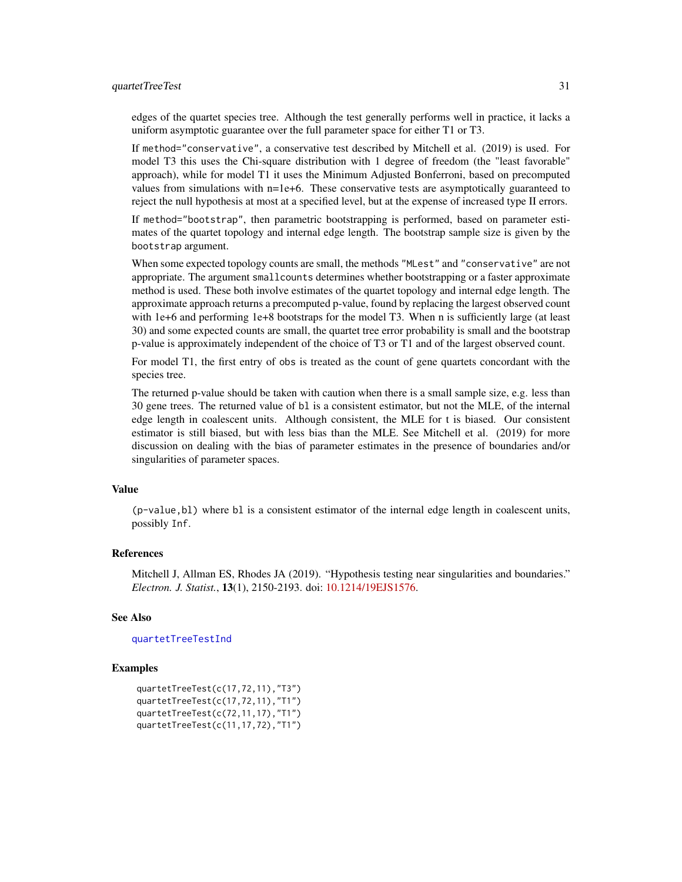#### <span id="page-30-0"></span>quartetTreeTest 31

edges of the quartet species tree. Although the test generally performs well in practice, it lacks a uniform asymptotic guarantee over the full parameter space for either T1 or T3.

If method="conservative", a conservative test described by Mitchell et al. (2019) is used. For model T3 this uses the Chi-square distribution with 1 degree of freedom (the "least favorable" approach), while for model T1 it uses the Minimum Adjusted Bonferroni, based on precomputed values from simulations with n=1e+6. These conservative tests are asymptotically guaranteed to reject the null hypothesis at most at a specified level, but at the expense of increased type II errors.

If method="bootstrap", then parametric bootstrapping is performed, based on parameter estimates of the quartet topology and internal edge length. The bootstrap sample size is given by the bootstrap argument.

When some expected topology counts are small, the methods "MLest" and "conservative" are not appropriate. The argument smallcounts determines whether bootstrapping or a faster approximate method is used. These both involve estimates of the quartet topology and internal edge length. The approximate approach returns a precomputed p-value, found by replacing the largest observed count with 1e+6 and performing 1e+8 bootstraps for the model T3. When n is sufficiently large (at least 30) and some expected counts are small, the quartet tree error probability is small and the bootstrap p-value is approximately independent of the choice of T3 or T1 and of the largest observed count.

For model T1, the first entry of obs is treated as the count of gene quartets concordant with the species tree.

The returned p-value should be taken with caution when there is a small sample size, e.g. less than 30 gene trees. The returned value of bl is a consistent estimator, but not the MLE, of the internal edge length in coalescent units. Although consistent, the MLE for t is biased. Our consistent estimator is still biased, but with less bias than the MLE. See Mitchell et al. (2019) for more discussion on dealing with the bias of parameter estimates in the presence of boundaries and/or singularities of parameter spaces.

### Value

(p-value,bl) where bl is a consistent estimator of the internal edge length in coalescent units, possibly Inf.

#### References

Mitchell J, Allman ES, Rhodes JA (2019). "Hypothesis testing near singularities and boundaries." *Electron. J. Statist.*, 13(1), 2150-2193. doi: [10.1214/19EJS1576.](https://doi.org/10.1214/19-EJS1576)

### See Also

#### [quartetTreeTestInd](#page-31-1)

```
quartetTreeTest(c(17,72,11),"T3")
quartetTreeTest(c(17,72,11),"T1")
quartetTreeTest(c(72,11,17),"T1")
quartetTreeTest(c(11,17,72),"T1")
```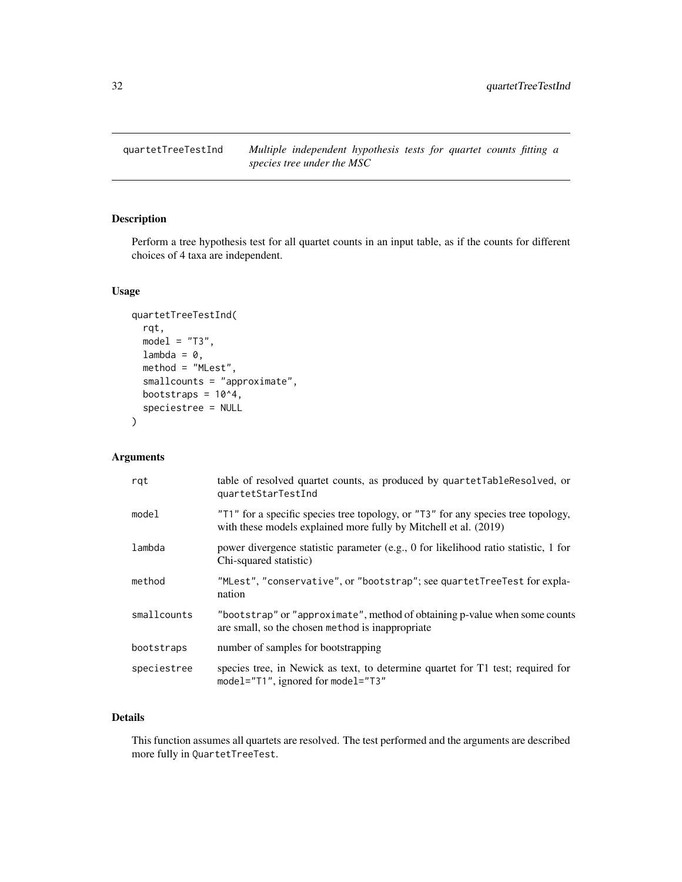<span id="page-31-1"></span><span id="page-31-0"></span>quartetTreeTestInd *Multiple independent hypothesis tests for quartet counts fitting a species tree under the MSC*

### Description

Perform a tree hypothesis test for all quartet counts in an input table, as if the counts for different choices of 4 taxa are independent.

### Usage

```
quartetTreeTestInd(
  rqt,
 model = "T3",lambda = 0,
 method = "MLest",
  smallcounts = "approximate",
 bootstraps = 10^4,
  speciestree = NULL
)
```
### Arguments

| rqt         | table of resolved quartet counts, as produced by quartetTableResolved, or<br>quartetStarTestInd                                                       |
|-------------|-------------------------------------------------------------------------------------------------------------------------------------------------------|
| model       | "T1" for a specific species tree topology, or "T3" for any species tree topology,<br>with these models explained more fully by Mitchell et al. (2019) |
| lambda      | power divergence statistic parameter (e.g., 0 for likelihood ratio statistic, 1 for<br>Chi-squared statistic)                                         |
| method      | "MLest", "conservative", or "bootstrap"; see quartetTreeTest for expla-<br>nation                                                                     |
| smallcounts | "bootstrap" or "approximate", method of obtaining p-value when some counts<br>are small, so the chosen method is inappropriate                        |
| bootstraps  | number of samples for bootstrapping                                                                                                                   |
| speciestree | species tree, in Newick as text, to determine quartet for T1 test; required for<br>model="T1", ignored for model="T3"                                 |

### Details

This function assumes all quartets are resolved. The test performed and the arguments are described more fully in QuartetTreeTest.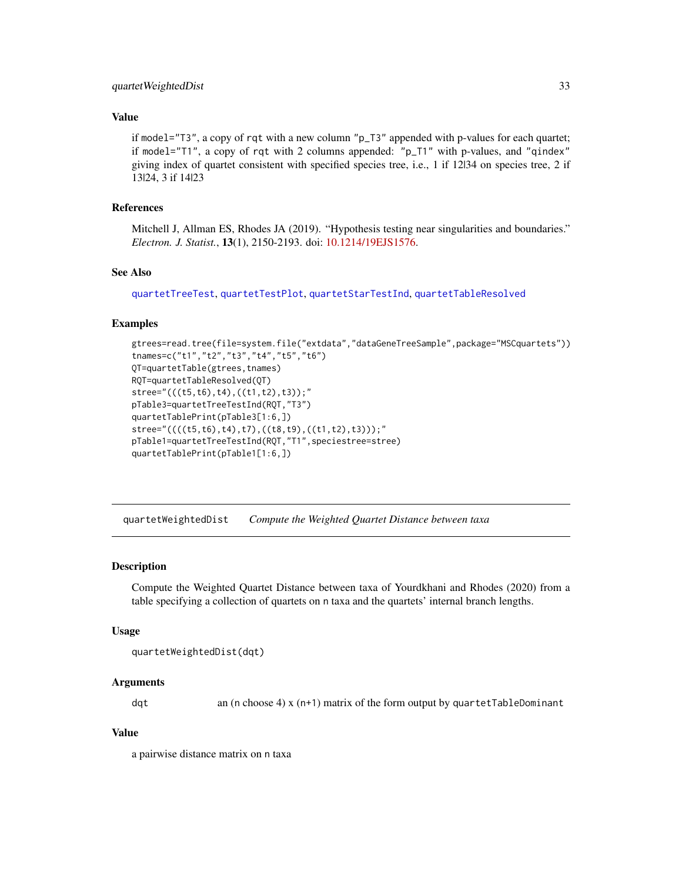### <span id="page-32-0"></span>quartet Weighted Dist 33

### Value

if model="T3", a copy of rqt with a new column "p\_T3" appended with p-values for each quartet; if model="T1", a copy of rqt with 2 columns appended: "p\_T1" with p-values, and "qindex" giving index of quartet consistent with specified species tree, i.e., 1 if 12|34 on species tree, 2 if 13|24, 3 if 14|23

### References

Mitchell J, Allman ES, Rhodes JA (2019). "Hypothesis testing near singularities and boundaries." *Electron. J. Statist.*, 13(1), 2150-2193. doi: [10.1214/19EJS1576.](https://doi.org/10.1214/19-EJS1576)

### See Also

[quartetTreeTest](#page-29-1), [quartetTestPlot](#page-27-1), [quartetStarTestInd](#page-20-1), [quartetTableResolved](#page-26-1)

#### Examples

```
gtrees=read.tree(file=system.file("extdata","dataGeneTreeSample",package="MSCquartets"))
tnames=c("t1","t2","t3","t4","t5","t6")
QT=quartetTable(gtrees,tnames)
RQT=quartetTableResolved(QT)
stree="(((t5,t6),t4),((t1,t2),t3));"
pTable3=quartetTreeTestInd(RQT,"T3")
quartetTablePrint(pTable3[1:6,])
stree="((((t5,t6),t4),t7),((t8,t9),((t1,t2),t3)));"
pTable1=quartetTreeTestInd(RQT,"T1",speciestree=stree)
quartetTablePrint(pTable1[1:6,])
```
<span id="page-32-1"></span>quartetWeightedDist *Compute the Weighted Quartet Distance between taxa*

#### **Description**

Compute the Weighted Quartet Distance between taxa of Yourdkhani and Rhodes (2020) from a table specifying a collection of quartets on n taxa and the quartets' internal branch lengths.

#### Usage

```
quartetWeightedDist(dqt)
```
### Arguments

dqt an (n choose 4) x (n+1) matrix of the form output by quartetTableDominant

#### Value

a pairwise distance matrix on n taxa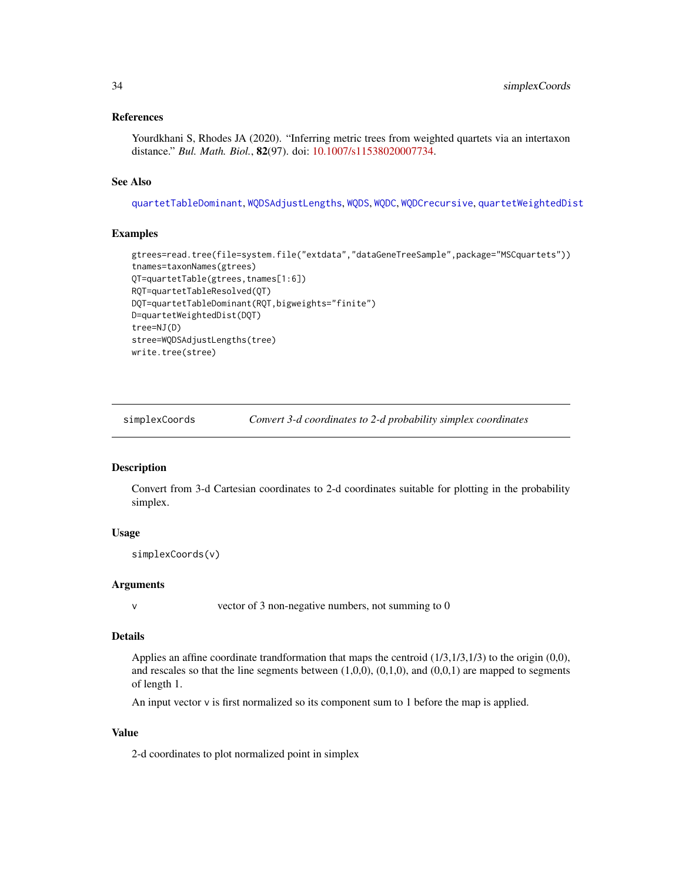### <span id="page-33-0"></span>References

Yourdkhani S, Rhodes JA (2020). "Inferring metric trees from weighted quartets via an intertaxon distance." *Bul. Math. Biol.*, 82(97). doi: [10.1007/s11538020007734.](https://doi.org/10.1007/s11538-020-00773-4)

### See Also

[quartetTableDominant](#page-23-1), [WQDSAdjustLengths](#page-43-1), [WQDS](#page-42-1), [WQDC](#page-39-1), [WQDCrecursive](#page-41-1), [quartetWeightedDist](#page-32-1)

### Examples

```
gtrees=read.tree(file=system.file("extdata","dataGeneTreeSample",package="MSCquartets"))
tnames=taxonNames(gtrees)
QT=quartetTable(gtrees,tnames[1:6])
RQT=quartetTableResolved(QT)
DQT=quartetTableDominant(RQT,bigweights="finite")
D=quartetWeightedDist(DQT)
tree=NJ(D)
stree=WQDSAdjustLengths(tree)
write.tree(stree)
```
<span id="page-33-1"></span>simplexCoords *Convert 3-d coordinates to 2-d probability simplex coordinates*

#### **Description**

Convert from 3-d Cartesian coordinates to 2-d coordinates suitable for plotting in the probability simplex.

### Usage

```
simplexCoords(v)
```
#### Arguments

v vector of 3 non-negative numbers, not summing to 0

#### Details

Applies an affine coordinate trandformation that maps the centroid  $(1/3,1/3,1/3)$  to the origin  $(0,0)$ , and rescales so that the line segments between  $(1,0,0)$ ,  $(0,1,0)$ , and  $(0,0,1)$  are mapped to segments of length 1.

An input vector v is first normalized so its component sum to 1 before the map is applied.

#### Value

2-d coordinates to plot normalized point in simplex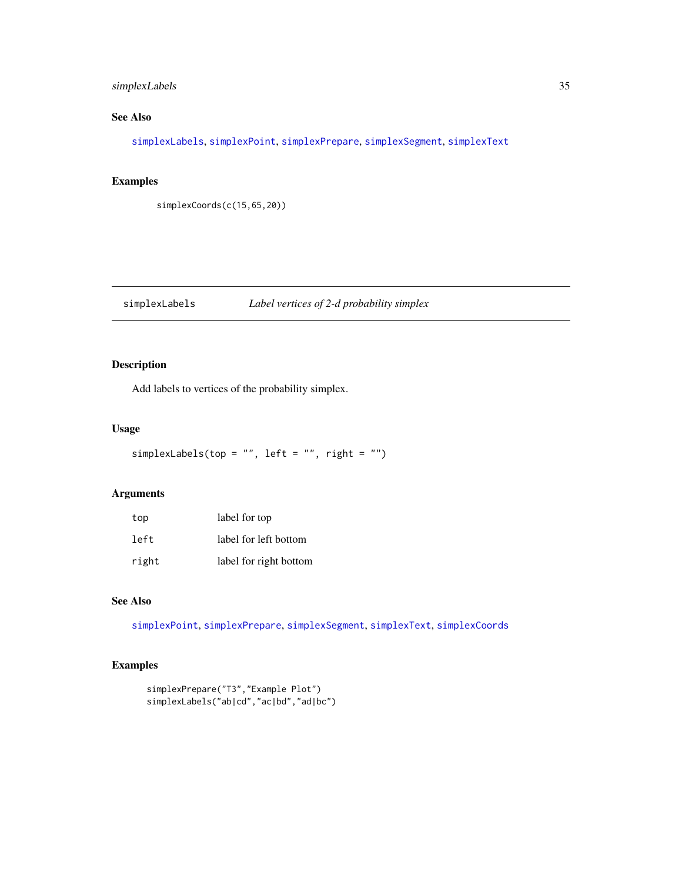### <span id="page-34-0"></span>simplexLabels 35

### See Also

[simplexLabels](#page-34-1), [simplexPoint](#page-35-1), [simplexPrepare](#page-35-2), [simplexSegment](#page-36-1), [simplexText](#page-37-1)

### Examples

simplexCoords(c(15,65,20))

<span id="page-34-1"></span>simplexLabels *Label vertices of 2-d probability simplex*

### Description

Add labels to vertices of the probability simplex.

### Usage

```
simplexLabels(top = "", left = "", right = "")
```
### Arguments

| top   | label for top          |
|-------|------------------------|
| left  | label for left bottom  |
| right | label for right bottom |

### See Also

[simplexPoint](#page-35-1), [simplexPrepare](#page-35-2), [simplexSegment](#page-36-1), [simplexText](#page-37-1), [simplexCoords](#page-33-1)

```
simplexPrepare("T3","Example Plot")
simplexLabels("ab|cd","ac|bd","ad|bc")
```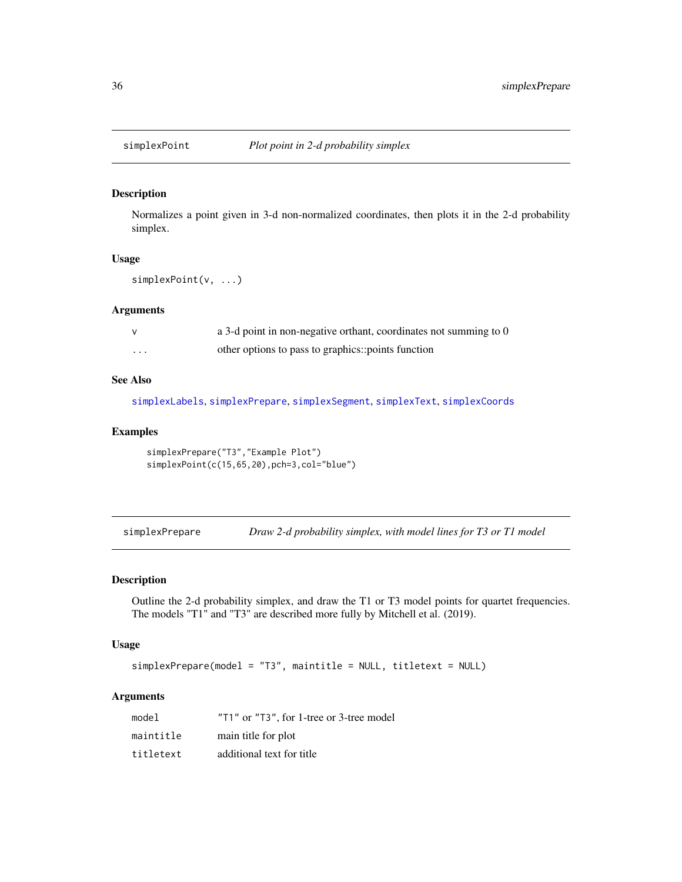<span id="page-35-1"></span><span id="page-35-0"></span>

### Description

Normalizes a point given in 3-d non-normalized coordinates, then plots it in the 2-d probability simplex.

#### Usage

```
simplexPoint(v, ...)
```
#### Arguments

|         | a 3-d point in non-negative orthant, coordinates not summing to 0 |
|---------|-------------------------------------------------------------------|
| $\cdot$ | other options to pass to graphics::points function                |

### See Also

[simplexLabels](#page-34-1), [simplexPrepare](#page-35-2), [simplexSegment](#page-36-1), [simplexText](#page-37-1), [simplexCoords](#page-33-1)

### Examples

```
simplexPrepare("T3","Example Plot")
simplexPoint(c(15,65,20),pch=3,col="blue")
```
<span id="page-35-2"></span>simplexPrepare *Draw 2-d probability simplex, with model lines for T3 or T1 model*

### Description

Outline the 2-d probability simplex, and draw the T1 or T3 model points for quartet frequencies. The models "T1" and "T3" are described more fully by Mitchell et al. (2019).

### Usage

simplexPrepare(model = "T3", maintitle = NULL, titletext = NULL)

### Arguments

| model     | "T1" or "T3", for 1-tree or 3-tree model |
|-----------|------------------------------------------|
| maintitle | main title for plot                      |
| titletext | additional text for title                |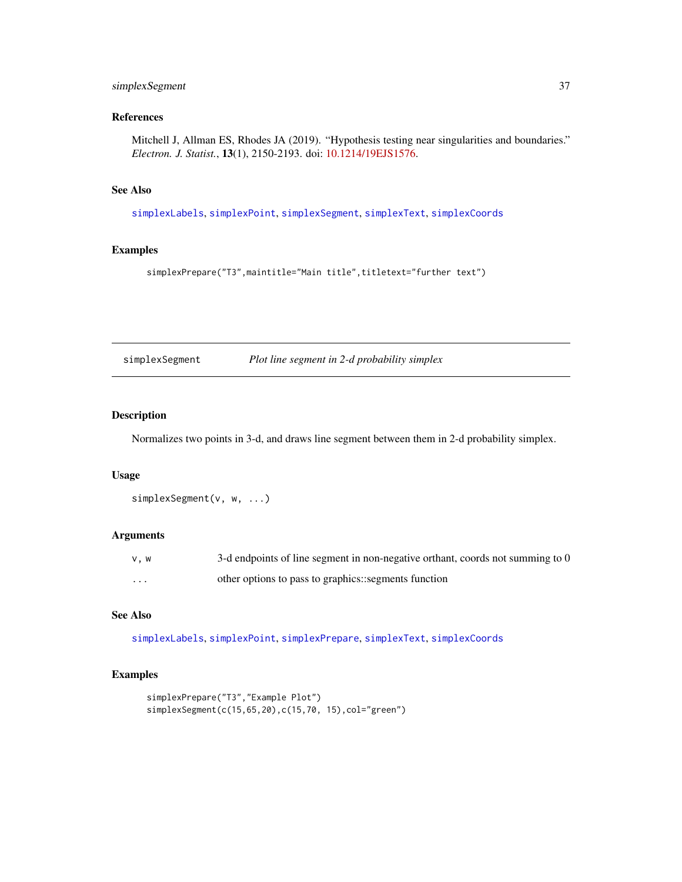### <span id="page-36-0"></span>simplexSegment 37

### References

Mitchell J, Allman ES, Rhodes JA (2019). "Hypothesis testing near singularities and boundaries." *Electron. J. Statist.*, 13(1), 2150-2193. doi: [10.1214/19EJS1576.](https://doi.org/10.1214/19-EJS1576)

### See Also

[simplexLabels](#page-34-1), [simplexPoint](#page-35-1), [simplexSegment](#page-36-1), [simplexText](#page-37-1), [simplexCoords](#page-33-1)

#### Examples

```
simplexPrepare("T3",maintitle="Main title",titletext="further text")
```
<span id="page-36-1"></span>simplexSegment *Plot line segment in 2-d probability simplex*

### Description

Normalizes two points in 3-d, and draws line segment between them in 2-d probability simplex.

### Usage

```
simplexSegment(v, w, ...)
```
#### Arguments

| v.w      | 3-d endpoints of line segment in non-negative orthant, coords not summing to 0 |
|----------|--------------------------------------------------------------------------------|
| $\cdots$ | other options to pass to graphics::segments function                           |

### See Also

[simplexLabels](#page-34-1), [simplexPoint](#page-35-1), [simplexPrepare](#page-35-2), [simplexText](#page-37-1), [simplexCoords](#page-33-1)

```
simplexPrepare("T3","Example Plot")
simplexSegment(c(15,65,20),c(15,70, 15),col="green")
```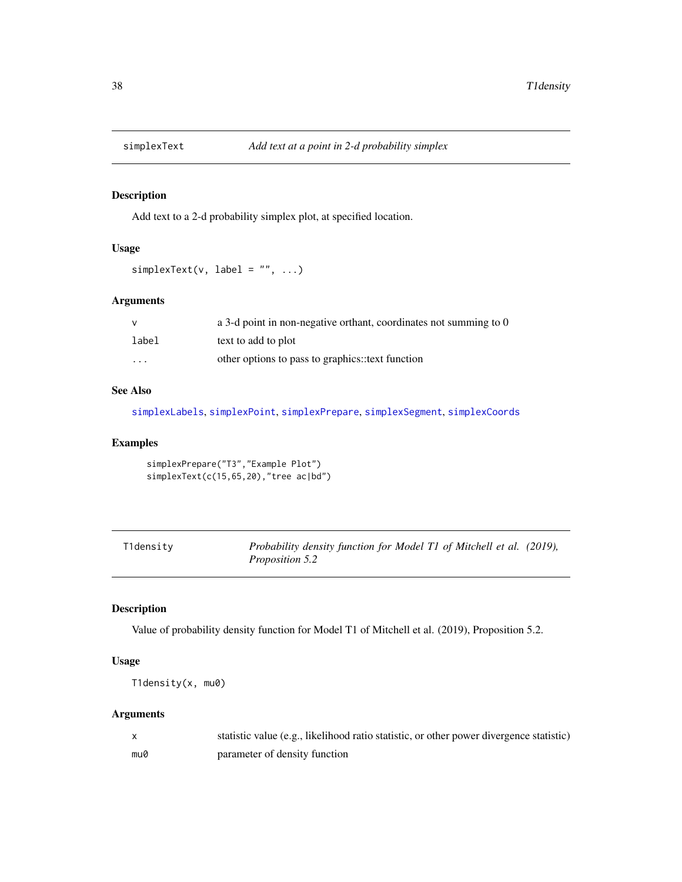<span id="page-37-1"></span><span id="page-37-0"></span>

### Description

Add text to a 2-d probability simplex plot, at specified location.

### Usage

```
simplexText(v, label = "", ...)
```
### Arguments

| v        | a 3-d point in non-negative orthant, coordinates not summing to 0 |
|----------|-------------------------------------------------------------------|
| label    | text to add to plot                                               |
| $\cdots$ | other options to pass to graphics: text function                  |

#### See Also

[simplexLabels](#page-34-1), [simplexPoint](#page-35-1), [simplexPrepare](#page-35-2), [simplexSegment](#page-36-1), [simplexCoords](#page-33-1)

### Examples

```
simplexPrepare("T3","Example Plot")
simplexText(c(15,65,20),"tree ac|bd")
```
<span id="page-37-2"></span>

| T1density | Probability density function for Model T1 of Mitchell et al. (2019), |  |
|-----------|----------------------------------------------------------------------|--|
|           | <i>Proposition 5.2</i>                                               |  |

### Description

Value of probability density function for Model T1 of Mitchell et al. (2019), Proposition 5.2.

### Usage

```
T1density(x, mu0)
```
### Arguments

|     | statistic value (e.g., likelihood ratio statistic, or other power divergence statistic) |
|-----|-----------------------------------------------------------------------------------------|
| mu0 | parameter of density function                                                           |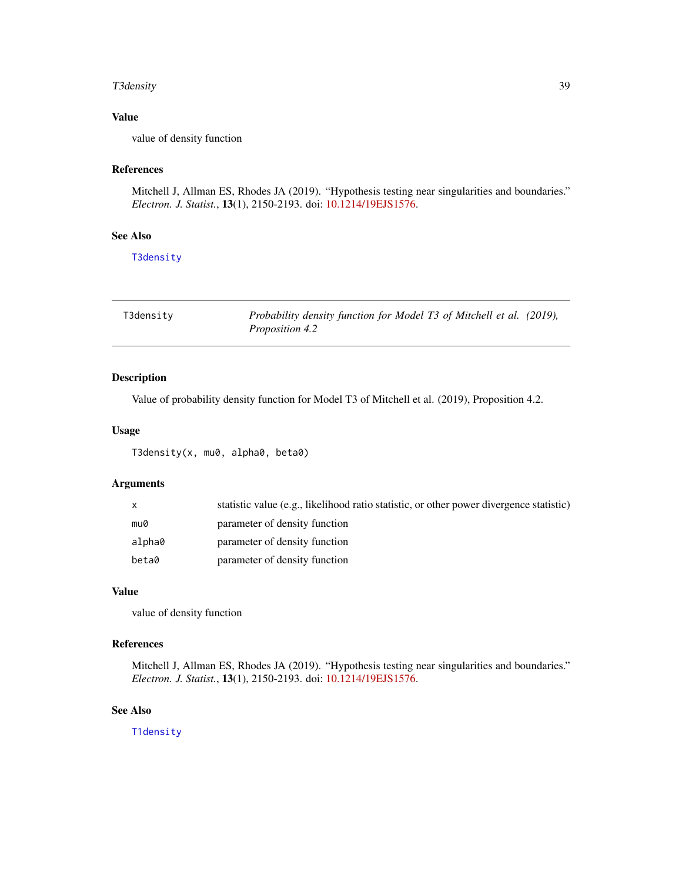#### <span id="page-38-0"></span>T3density 39

### Value

value of density function

#### References

Mitchell J, Allman ES, Rhodes JA (2019). "Hypothesis testing near singularities and boundaries." *Electron. J. Statist.*, 13(1), 2150-2193. doi: [10.1214/19EJS1576.](https://doi.org/10.1214/19-EJS1576)

### See Also

[T3density](#page-38-1)

<span id="page-38-1"></span>

| T3density | Probability density function for Model T3 of Mitchell et al. (2019), |  |
|-----------|----------------------------------------------------------------------|--|
|           | <i>Proposition 4.2</i>                                               |  |

### Description

Value of probability density function for Model T3 of Mitchell et al. (2019), Proposition 4.2.

### Usage

T3density(x, mu0, alpha0, beta0)

### Arguments

| $\mathsf{x}$ | statistic value (e.g., likelihood ratio statistic, or other power divergence statistic) |
|--------------|-----------------------------------------------------------------------------------------|
| mu0          | parameter of density function                                                           |
| alpha0       | parameter of density function                                                           |
| beta0        | parameter of density function                                                           |

#### Value

value of density function

### References

Mitchell J, Allman ES, Rhodes JA (2019). "Hypothesis testing near singularities and boundaries." *Electron. J. Statist.*, 13(1), 2150-2193. doi: [10.1214/19EJS1576.](https://doi.org/10.1214/19-EJS1576)

### See Also

[T1density](#page-37-2)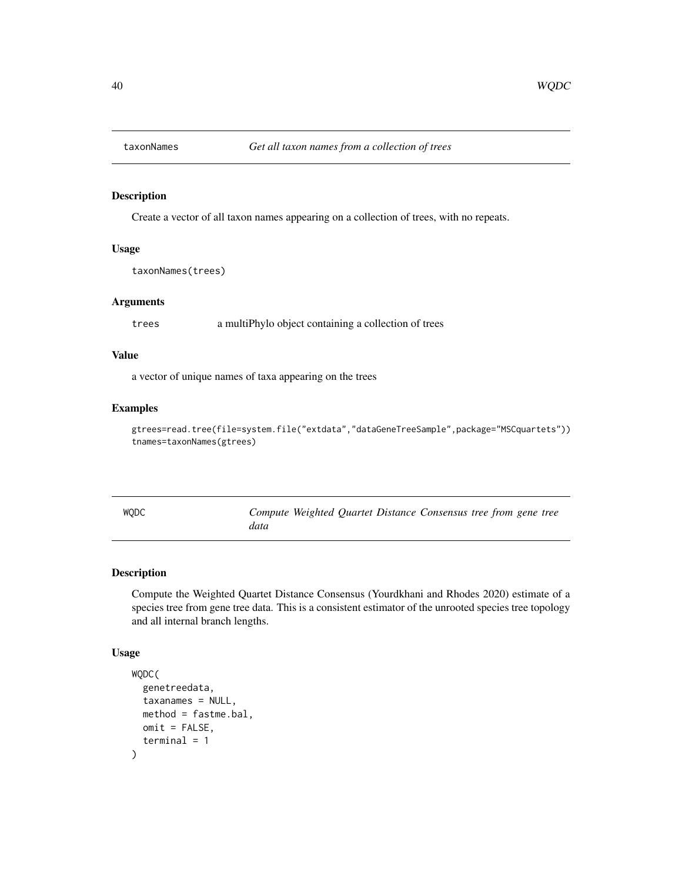<span id="page-39-2"></span><span id="page-39-0"></span>

### Description

Create a vector of all taxon names appearing on a collection of trees, with no repeats.

#### Usage

```
taxonNames(trees)
```
### Arguments

trees a multiPhylo object containing a collection of trees

### Value

a vector of unique names of taxa appearing on the trees

#### Examples

gtrees=read.tree(file=system.file("extdata","dataGeneTreeSample",package="MSCquartets")) tnames=taxonNames(gtrees)

<span id="page-39-1"></span>

| <b>WODC</b> |      |  | Compute Weighted Quartet Distance Consensus tree from gene tree |  |  |
|-------------|------|--|-----------------------------------------------------------------|--|--|
|             | data |  |                                                                 |  |  |

### Description

Compute the Weighted Quartet Distance Consensus (Yourdkhani and Rhodes 2020) estimate of a species tree from gene tree data. This is a consistent estimator of the unrooted species tree topology and all internal branch lengths.

### Usage

```
WQDC(
  genetreedata,
  taxanames = NULL,
 method = fastme.bal,
 omit = FALSE,terminal = 1
)
```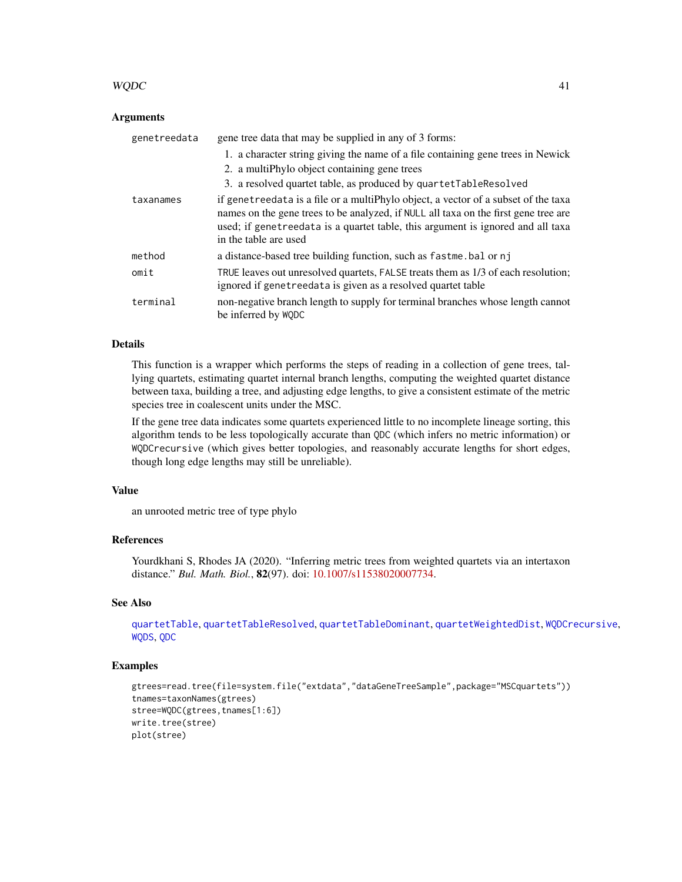### <span id="page-40-0"></span> $WQDC$  41

### **Arguments**

| genetreedata | gene tree data that may be supplied in any of 3 forms:                                                                                                                                                                                                                                |
|--------------|---------------------------------------------------------------------------------------------------------------------------------------------------------------------------------------------------------------------------------------------------------------------------------------|
|              | 1. a character string giving the name of a file containing gene trees in Newick                                                                                                                                                                                                       |
|              | 2. a multiPhylo object containing gene trees                                                                                                                                                                                                                                          |
|              | 3. a resolved quartet table, as produced by quartetTableResolved                                                                                                                                                                                                                      |
| taxanames    | if genetreedata is a file or a multiphylo object, a vector of a subset of the taxa<br>names on the gene trees to be analyzed, if NULL all taxa on the first gene tree are<br>used; if genetreedata is a quartet table, this argument is ignored and all taxa<br>in the table are used |
| method       | a distance-based tree building function, such as fastme. bal or nj                                                                                                                                                                                                                    |
| omit         | TRUE leaves out unresolved quartets, FALSE treats them as 1/3 of each resolution;<br>ignored if genetreedata is given as a resolved quartet table                                                                                                                                     |
| terminal     | non-negative branch length to supply for terminal branches whose length cannot<br>be inferred by WODC                                                                                                                                                                                 |

### Details

This function is a wrapper which performs the steps of reading in a collection of gene trees, tallying quartets, estimating quartet internal branch lengths, computing the weighted quartet distance between taxa, building a tree, and adjusting edge lengths, to give a consistent estimate of the metric species tree in coalescent units under the MSC.

If the gene tree data indicates some quartets experienced little to no incomplete lineage sorting, this algorithm tends to be less topologically accurate than QDC (which infers no metric information) or WQDCrecursive (which gives better topologies, and reasonably accurate lengths for short edges, though long edge lengths may still be unreliable).

### Value

an unrooted metric tree of type phylo

### References

Yourdkhani S, Rhodes JA (2020). "Inferring metric trees from weighted quartets via an intertaxon distance." *Bul. Math. Biol.*, 82(97). doi: [10.1007/s11538020007734.](https://doi.org/10.1007/s11538-020-00773-4)

### See Also

[quartetTable](#page-21-1), [quartetTableResolved](#page-26-1), [quartetTableDominant](#page-23-1), [quartetWeightedDist](#page-32-1), [WQDCrecursive](#page-41-1), [WQDS](#page-42-1), [QDC](#page-15-1)

```
gtrees=read.tree(file=system.file("extdata","dataGeneTreeSample",package="MSCquartets"))
tnames=taxonNames(gtrees)
stree=WQDC(gtrees,tnames[1:6])
write.tree(stree)
plot(stree)
```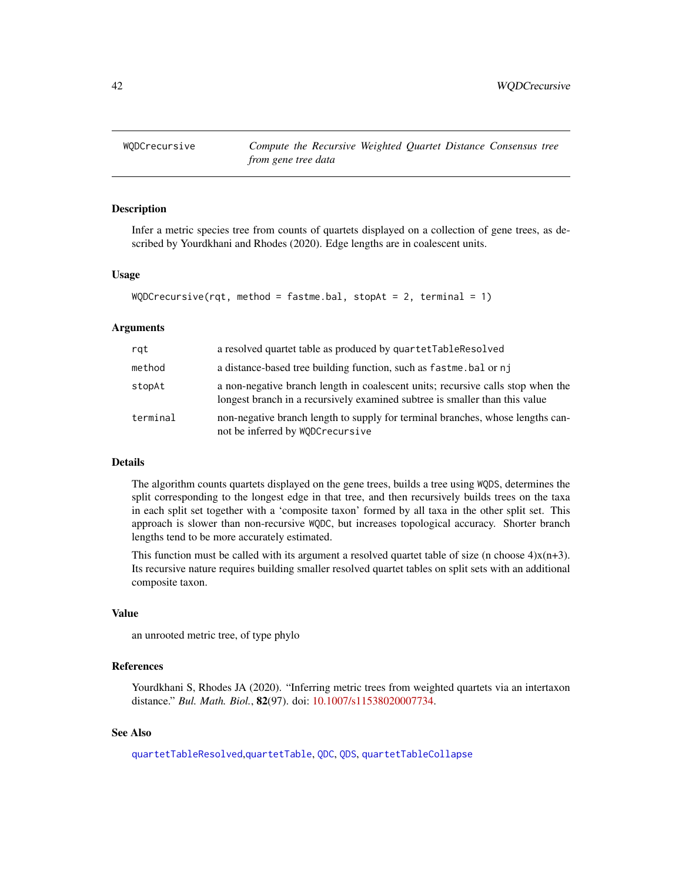<span id="page-41-1"></span><span id="page-41-0"></span>

### Description

Infer a metric species tree from counts of quartets displayed on a collection of gene trees, as described by Yourdkhani and Rhodes (2020). Edge lengths are in coalescent units.

### Usage

```
WQDCrecursive(rqt, method = fastme.bal, stopAt = 2, terminal = 1)
```
#### Arguments

| rgt      | a resolved quartet table as produced by quartetTableResolved                                                                                                   |
|----------|----------------------------------------------------------------------------------------------------------------------------------------------------------------|
| method   | a distance-based tree building function, such as fastme, bal or nj                                                                                             |
| stopAt   | a non-negative branch length in coalescent units; recursive calls stop when the<br>longest branch in a recursively examined subtree is smaller than this value |
| terminal | non-negative branch length to supply for terminal branches, whose lengths can-<br>not be inferred by WQDCrecursive                                             |

#### Details

The algorithm counts quartets displayed on the gene trees, builds a tree using WQDS, determines the split corresponding to the longest edge in that tree, and then recursively builds trees on the taxa in each split set together with a 'composite taxon' formed by all taxa in the other split set. This approach is slower than non-recursive WQDC, but increases topological accuracy. Shorter branch lengths tend to be more accurately estimated.

This function must be called with its argument a resolved quartet table of size (n choose  $4$ ) $x(n+3)$ . Its recursive nature requires building smaller resolved quartet tables on split sets with an additional composite taxon.

#### Value

an unrooted metric tree, of type phylo

### References

Yourdkhani S, Rhodes JA (2020). "Inferring metric trees from weighted quartets via an intertaxon distance." *Bul. Math. Biol.*, 82(97). doi: [10.1007/s11538020007734.](https://doi.org/10.1007/s11538-020-00773-4)

### See Also

[quartetTableResolved](#page-26-1),[quartetTable](#page-21-1), [QDC](#page-15-1), [QDS](#page-17-1), [quartetTableCollapse](#page-22-1)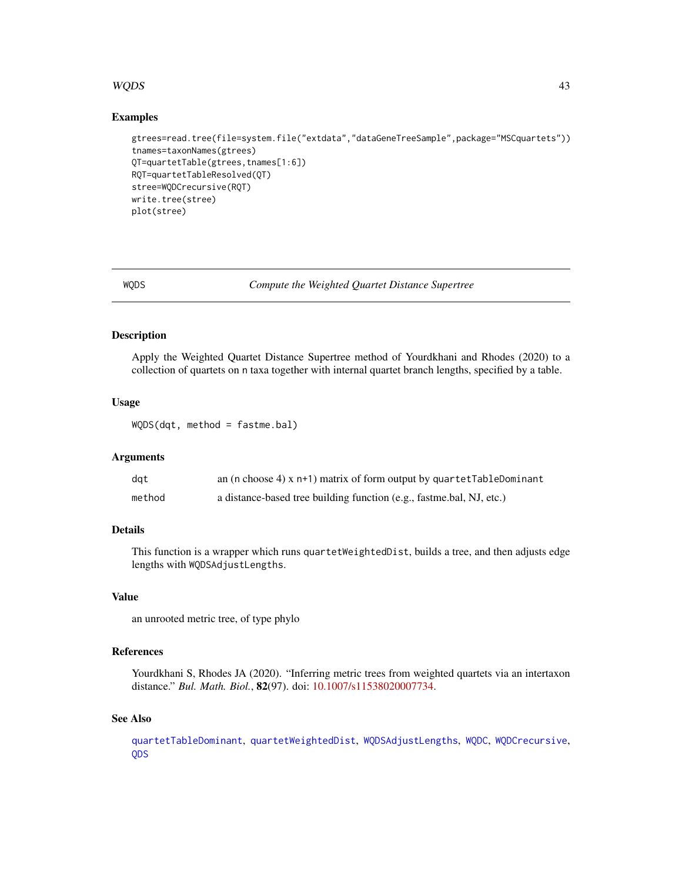### <span id="page-42-0"></span> $WQDS$  and the set of the set of the set of the set of the set of the set of the set of the set of the set of the set of the set of the set of the set of the set of the set of the set of the set of the set of the set of th

### Examples

```
gtrees=read.tree(file=system.file("extdata","dataGeneTreeSample",package="MSCquartets"))
tnames=taxonNames(gtrees)
QT=quartetTable(gtrees,tnames[1:6])
RQT=quartetTableResolved(QT)
stree=WQDCrecursive(RQT)
write.tree(stree)
plot(stree)
```
<span id="page-42-1"></span>

WQDS *Compute the Weighted Quartet Distance Supertree*

#### Description

Apply the Weighted Quartet Distance Supertree method of Yourdkhani and Rhodes (2020) to a collection of quartets on n taxa together with internal quartet branch lengths, specified by a table.

#### Usage

WQDS(dqt, method = fastme.bal)

#### **Arguments**

| dat    | an (n choose 4) $x$ n+1) matrix of form output by quartetTableDominant |
|--------|------------------------------------------------------------------------|
| method | a distance-based tree building function (e.g., fastme.bal, NJ, etc.)   |

### Details

This function is a wrapper which runs quartetWeightedDist, builds a tree, and then adjusts edge lengths with WQDSAdjustLengths.

#### Value

an unrooted metric tree, of type phylo

### References

Yourdkhani S, Rhodes JA (2020). "Inferring metric trees from weighted quartets via an intertaxon distance." *Bul. Math. Biol.*, 82(97). doi: [10.1007/s11538020007734.](https://doi.org/10.1007/s11538-020-00773-4)

#### See Also

[quartetTableDominant](#page-23-1), [quartetWeightedDist](#page-32-1), [WQDSAdjustLengths](#page-43-1), [WQDC](#page-39-1), [WQDCrecursive](#page-41-1), [QDS](#page-17-1)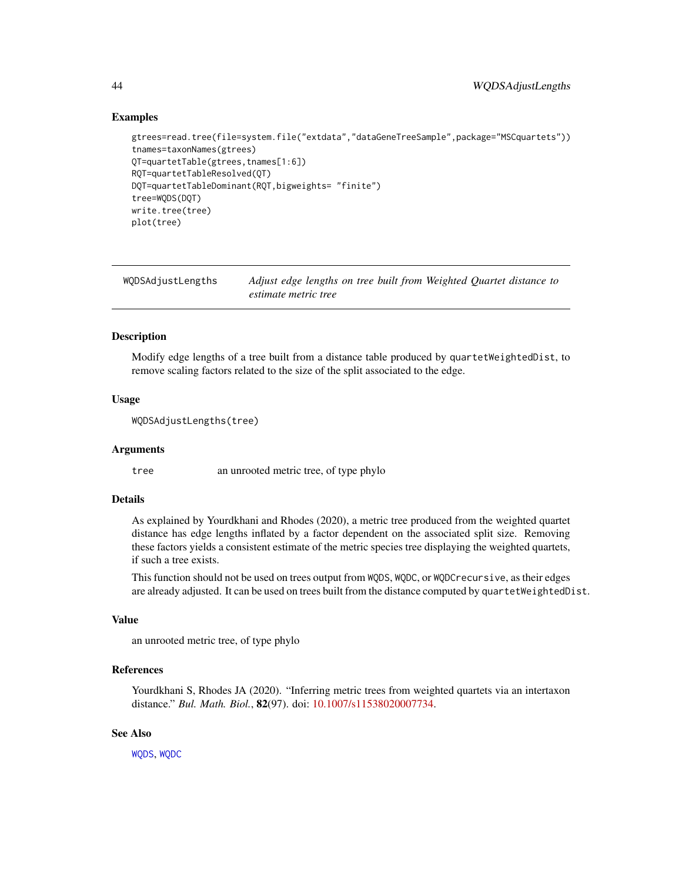### Examples

```
gtrees=read.tree(file=system.file("extdata","dataGeneTreeSample",package="MSCquartets"))
tnames=taxonNames(gtrees)
QT=quartetTable(gtrees,tnames[1:6])
RQT=quartetTableResolved(QT)
DQT=quartetTableDominant(RQT,bigweights= "finite")
tree=WQDS(DQT)
write.tree(tree)
plot(tree)
```
<span id="page-43-1"></span>WQDSAdjustLengths *Adjust edge lengths on tree built from Weighted Quartet distance to estimate metric tree*

### **Description**

Modify edge lengths of a tree built from a distance table produced by quartetWeightedDist, to remove scaling factors related to the size of the split associated to the edge.

#### Usage

```
WQDSAdjustLengths(tree)
```
#### Arguments

tree an unrooted metric tree, of type phylo

#### Details

As explained by Yourdkhani and Rhodes (2020), a metric tree produced from the weighted quartet distance has edge lengths inflated by a factor dependent on the associated split size. Removing these factors yields a consistent estimate of the metric species tree displaying the weighted quartets, if such a tree exists.

This function should not be used on trees output from WQDS, WQDC, or WQDCrecursive, as their edges are already adjusted. It can be used on trees built from the distance computed by quartetWeightedDist.

#### Value

an unrooted metric tree, of type phylo

#### References

Yourdkhani S, Rhodes JA (2020). "Inferring metric trees from weighted quartets via an intertaxon distance." *Bul. Math. Biol.*, 82(97). doi: [10.1007/s11538020007734.](https://doi.org/10.1007/s11538-020-00773-4)

### See Also

[WQDS](#page-42-1), [WQDC](#page-39-1)

<span id="page-43-0"></span>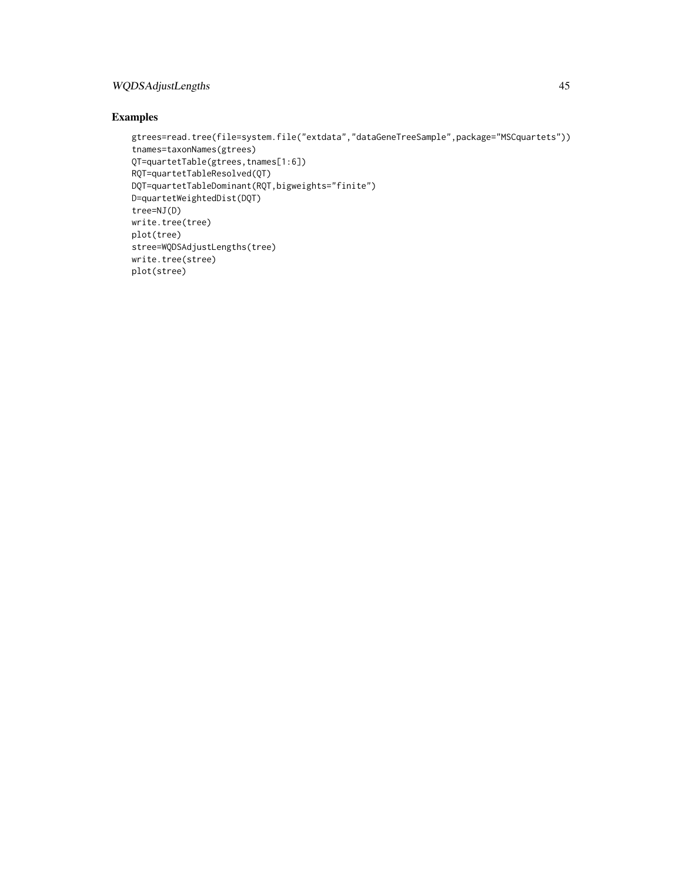### WQDSAdjustLengths 45

```
gtrees=read.tree(file=system.file("extdata","dataGeneTreeSample",package="MSCquartets"))
tnames=taxonNames(gtrees)
QT=quartetTable(gtrees,tnames[1:6])
RQT=quartetTableResolved(QT)
DQT=quartetTableDominant(RQT,bigweights="finite")
D=quartetWeightedDist(DQT)
tree=NJ(D)
write.tree(tree)
plot(tree)
stree=WQDSAdjustLengths(tree)
write.tree(stree)
plot(stree)
```